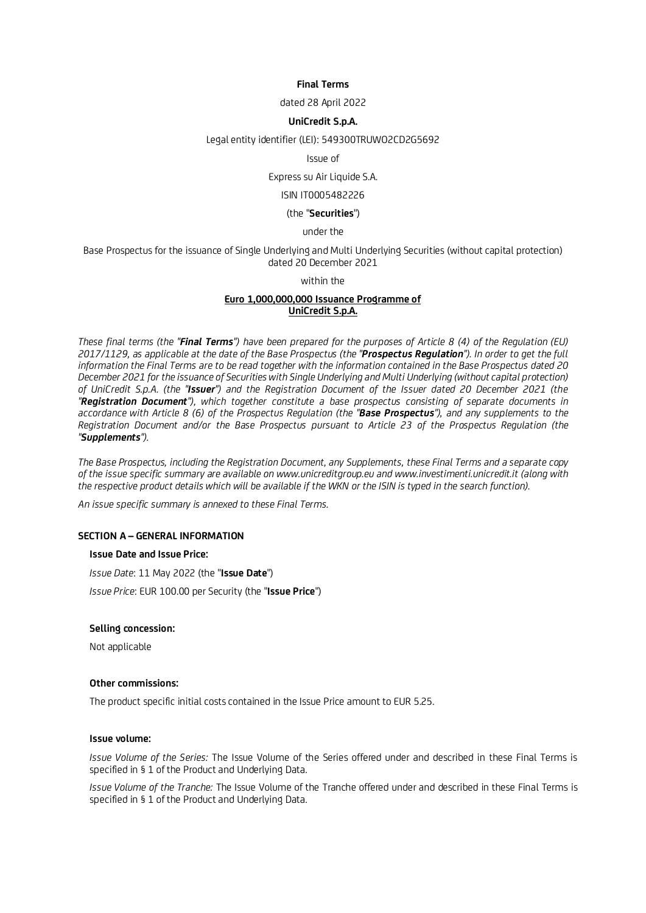### **Final Terms**

dated 28 April 2022

### **UniCredit S.p.A.**

Legal entity identifier (LEI): 549300TRUWO2CD2G5692

Issue of

### Express su Air Liquide S.A.

# ISIN IT0005482226

#### (the "**Securities**")

### under the

Base Prospectus for the issuance of Single Underlying and Multi Underlying Securities (without capital protection) dated 20 December 2021

### within the

# **Euro 1,000,000,000 Issuance Programme of UniCredit S.p.A.**

*These final terms (the "Final Terms") have been prepared for the purposes of Article 8 (4) of the Regulation (EU) 2017/1129, as applicable at the date of the Base Prospectus (the "Prospectus Regulation"). In order to get the full information the Final Terms are to be read together with the information contained in the Base Prospectus dated 20 December 2021 for the issuance of Securities with Single Underlying and Multi Underlying (without capital protection) of UniCredit S.p.A. (the "Issuer") and the Registration Document of the Issuer dated 20 December 2021 (the "Registration Document"), which together constitute a base prospectus consisting of separate documents in accordance with Article 8 (6) of the Prospectus Regulation (the "Base Prospectus"), and any supplements to the Registration Document and/or the Base Prospectus pursuant to Article 23 of the Prospectus Regulation (the "Supplements").* 

*The Base Prospectus, including the Registration Document, any Supplements, these Final Terms and a separate copy of the issue specific summary are available on www.unicreditgroup.eu and www.investimenti.unicredit.it (along with*  the respective product details which will be available if the WKN or the ISIN is typed in the search function).

*An issue specific summary is annexed to these Final Terms.* 

#### **SECTION A – GENERAL INFORMATION**

### **Issue Date and Issue Price:**

*Issue Date*: 11 May 2022 (the "**Issue Date**")

*Issue Price*: EUR 100.00 per Security (the "**Issue Price**")

### **Selling concession:**

Not applicable

# **Other commissions:**

The product specific initial costs contained in the Issue Price amount to EUR 5.25.

#### **Issue volume:**

*Issue Volume of the Series:* The Issue Volume of the Series offered under and described in these Final Terms is specified in § 1 of the Product and Underlying Data.

*Issue Volume of the Tranche:* The Issue Volume of the Tranche offered under and described in these Final Terms is specified in § 1 of the Product and Underlying Data.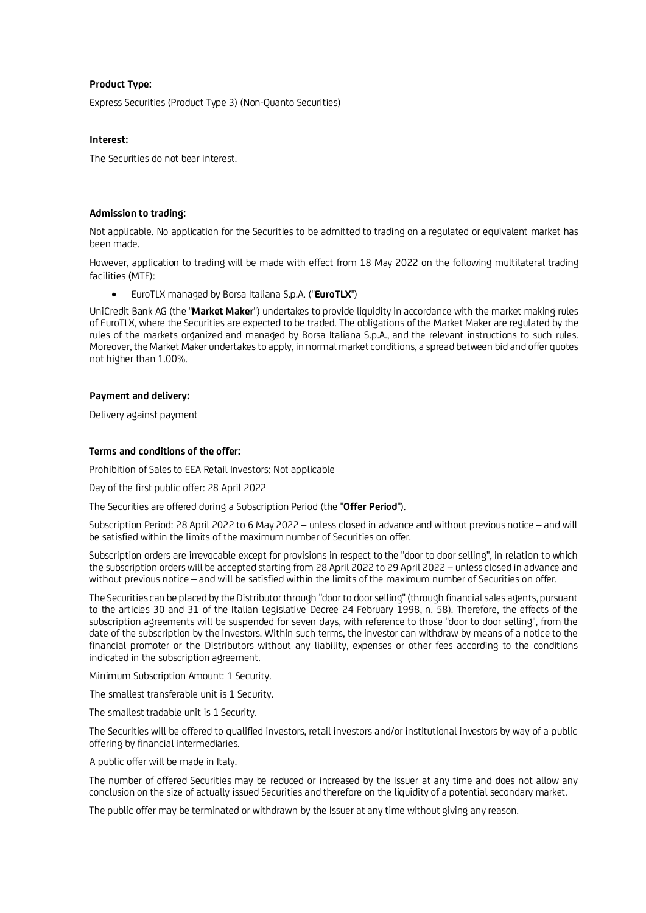# **Product Type:**

Express Securities (Product Type 3) (Non-Quanto Securities)

### **Interest:**

The Securities do not bear interest.

### **Admission to trading:**

Not applicable. No application for the Securities to be admitted to trading on a regulated or equivalent market has been made.

However, application to trading will be made with effect from 18 May 2022 on the following multilateral trading facilities (MTF):

EuroTLX managed by Borsa Italiana S.p.A. ("**EuroTLX**")

UniCredit Bank AG (the "**Market Maker**") undertakes to provide liquidity in accordance with the market making rules of EuroTLX, where the Securities are expected to be traded. The obligations of the Market Maker are regulated by the rules of the markets organized and managed by Borsa Italiana S.p.A., and the relevant instructions to such rules. Moreover, the Market Maker undertakes to apply, in normal market conditions, a spread between bid and offer quotes not higher than 1.00%.

### **Payment and delivery:**

Delivery against payment

### **Terms and conditions of the offer:**

Prohibition of Sales to EEA Retail Investors: Not applicable

Day of the first public offer: 28 April 2022

The Securities are offered during a Subscription Period (the "**Offer Period**").

Subscription Period: 28 April 2022 to 6 May 2022 – unless closed in advance and without previous notice – and will be satisfied within the limits of the maximum number of Securities on offer.

Subscription orders are irrevocable except for provisions in respect to the "door to door selling", in relation to which the subscription orders will be accepted starting from 28 April 2022 to 29 April 2022 – unless closed in advance and without previous notice – and will be satisfied within the limits of the maximum number of Securities on offer.

The Securities can be placed by the Distributor through "door to door selling" (through financial sales agents, pursuant to the articles 30 and 31 of the Italian Legislative Decree 24 February 1998, n. 58). Therefore, the effects of the subscription agreements will be suspended for seven days, with reference to those "door to door selling", from the date of the subscription by the investors. Within such terms, the investor can withdraw by means of a notice to the financial promoter or the Distributors without any liability, expenses or other fees according to the conditions indicated in the subscription agreement.

Minimum Subscription Amount: 1 Security.

The smallest transferable unit is 1 Security.

The smallest tradable unit is 1 Security.

The Securities will be offered to qualified investors, retail investors and/or institutional investors by way of a public offering by financial intermediaries.

A public offer will be made in Italy.

The number of offered Securities may be reduced or increased by the Issuer at any time and does not allow any conclusion on the size of actually issued Securities and therefore on the liquidity of a potential secondary market.

The public offer may be terminated or withdrawn by the Issuer at any time without giving any reason.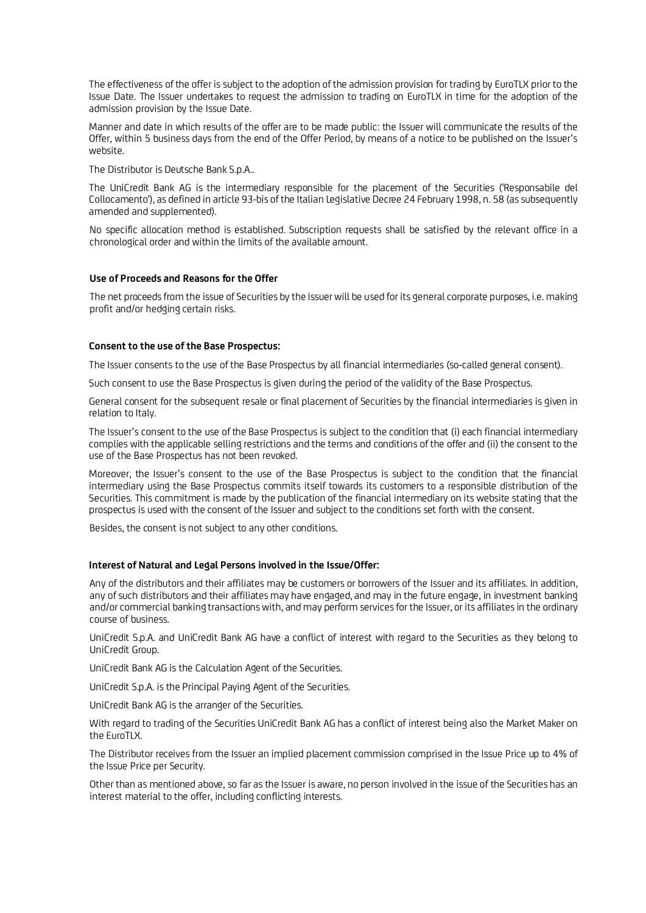The effectiveness of the offer is subject to the adoption of the admission provision for trading by EuroTLX prior to the Issue Date. The Issuer undertakes to request the admission to trading on EuroTLX in time for the adoption of the admission provision by the Issue Date.

Manner and date in which results of the offer are to be made public: the Issuer will communicate the results of the Offer, within 5 business days from the end of the Offer Period, by means of a notice to be published on the Issuer's website.

The Distributor is Deutsche Bank S.p.A..

The UniCredit Bank AG is the intermediary responsible for the placement of the Securities ('Responsabile del Collocamento'), as defined in article 93-bis of the Italian Legislative Decree 24 February 1998, n. 58 (as subsequently amended and supplemented).

No specific allocation method is established. Subscription requests shall be satisfied by the relevant office in a chronological order and within the limits of the available amount.

# **Use of Proceeds and Reasons for the Offer**

The net proceeds from the issue of Securities by the Issuer will be used for its general corporate purposes, i.e. making profit and/or hedging certain risks.

### **Consent to the use of the Base Prospectus:**

The Issuer consents to the use of the Base Prospectus by all financial intermediaries (so-called general consent).

Such consent to use the Base Prospectus is given during the period of the validity of the Base Prospectus.

General consent for the subsequent resale or final placement of Securities by the financial intermediaries is given in relation to Italy.

The Issuer's consent to the use of the Base Prospectus is subject to the condition that (i) each financial intermediary complies with the applicable selling restrictions and the terms and conditions of the offer and (ii) the consent to the use of the Base Prospectus has not been revoked.

Moreover, the Issuer's consent to the use of the Base Prospectus is subject to the condition that the financial intermediary using the Base Prospectus commits itself towards its customers to a responsible distribution of the Securities. This commitment is made by the publication of the financial intermediary on its website stating that the prospectus is used with the consent of the Issuer and subject to the conditions set forth with the consent.

Besides, the consent is not subject to any other conditions.

### **Interest of Natural and Legal Persons involved in the Issue/Offer:**

Any of the distributors and their affiliates may be customers or borrowers of the Issuer and its affiliates. In addition, any of such distributors and their affiliates may have engaged, and may in the future engage, in investment banking and/or commercial banking transactions with, and may perform services for the Issuer, or its affiliates in the ordinary course of business.

UniCredit S.p.A. and UniCredit Bank AG have a conflict of interest with regard to the Securities as they belong to UniCredit Group.

UniCredit Bank AG is the Calculation Agent of the Securities.

UniCredit S.p.A. is the Principal Paying Agent of the Securities.

UniCredit Bank AG is the arranger of the Securities.

With regard to trading of the Securities UniCredit Bank AG has a conflict of interest being also the Market Maker on the EuroTLX.

The Distributor receives from the Issuer an implied placement commission comprised in the Issue Price up to 4% of the Issue Price per Security.

Other than as mentioned above, so far as the Issuer is aware, no person involved in the issue of the Securities has an interest material to the offer, including conflicting interests.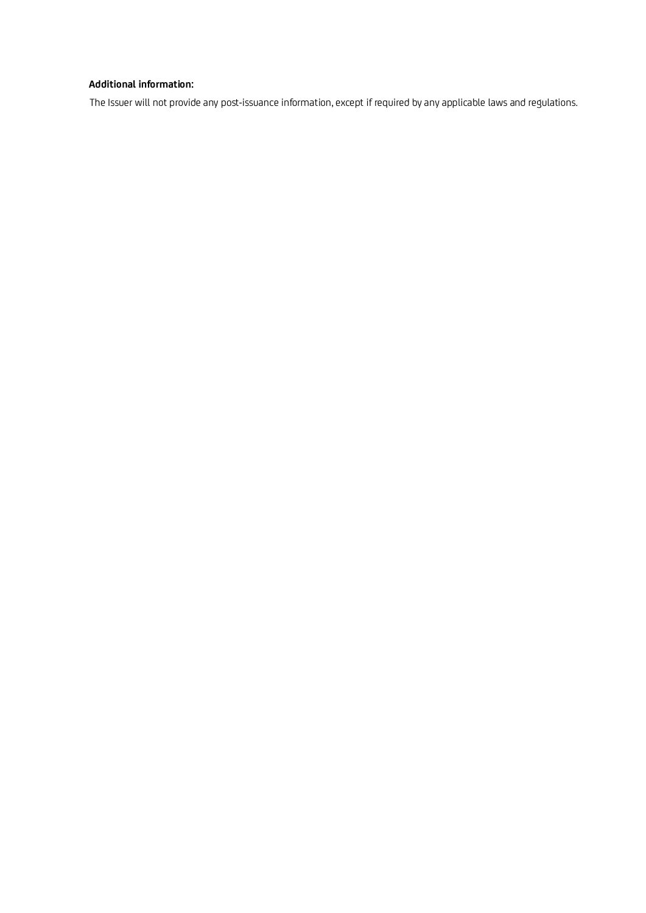# **Additional information:**

The Issuer will not provide any post-issuance information, except if required by any applicable laws and regulations.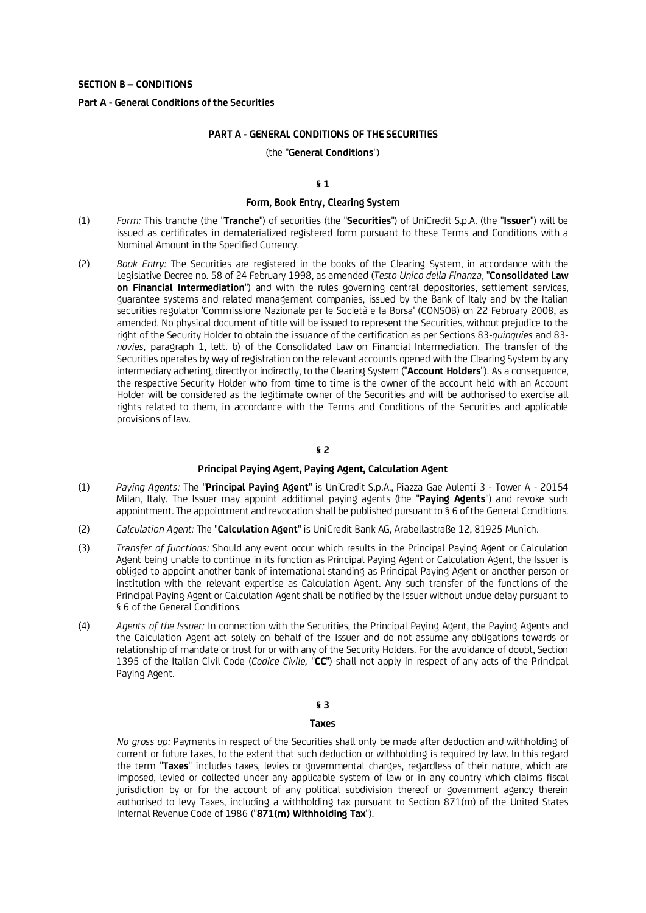### **Part A - General Conditions of the Securities**

#### **PART A - GENERAL CONDITIONS OF THE SECURITIES**

#### (the "**General Conditions**")

# **§ 1**

#### **Form, Book Entry, Clearing System**

- (1) *Form:* This tranche (the "**Tranche**") of securities (the "**Securities**") of UniCredit S.p.A. (the "**Issuer**") will be issued as certificates in dematerialized registered form pursuant to these Terms and Conditions with a Nominal Amount in the Specified Currency.
- (2) *Book Entry:* The Securities are registered in the books of the Clearing System, in accordance with the Legislative Decree no. 58 of 24 February 1998, as amended (*Testo Unico della Finanza*, "**Consolidated Law on Financial Intermediation**") and with the rules governing central depositories, settlement services, guarantee systems and related management companies, issued by the Bank of Italy and by the Italian securities regulator 'Commissione Nazionale per le Società e la Borsa' (CONSOB) on 22 February 2008, as amended. No physical document of title will be issued to represent the Securities, without prejudice to the right of the Security Holder to obtain the issuance of the certification as per Sections 83-*quinquies* and 83 *novies,* paragraph 1, lett. b) of the Consolidated Law on Financial Intermediation. The transfer of the Securities operates by way of registration on the relevant accounts opened with the Clearing System by any intermediary adhering, directly or indirectly, to the Clearing System ("**Account Holders**"). As a consequence, the respective Security Holder who from time to time is the owner of the account held with an Account Holder will be considered as the legitimate owner of the Securities and will be authorised to exercise all rights related to them, in accordance with the Terms and Conditions of the Securities and applicable provisions of law.

# **§ 2**

## **Principal Paying Agent, Paying Agent, Calculation Agent**

- (1) *Paying Agents:* The "**Principal Paying Agent**" is UniCredit S.p.A., Piazza Gae Aulenti 3 Tower A 20154 Milan, Italy. The Issuer may appoint additional paying agents (the "**Paying Agents**") and revoke such appointment. The appointment and revocation shall be published pursuant to § 6 of the General Conditions.
- (2) *Calculation Agent:* The "**Calculation Agent**" is UniCredit Bank AG, Arabellastraße 12, 81925 Munich.
- (3) *Transfer of functions:* Should any event occur which results in the Principal Paying Agent or Calculation Agent being unable to continue in its function as Principal Paying Agent or Calculation Agent, the Issuer is obliged to appoint another bank of international standing as Principal Paying Agent or another person or institution with the relevant expertise as Calculation Agent. Any such transfer of the functions of the Principal Paying Agent or Calculation Agent shall be notified by the Issuer without undue delay pursuant to § 6 of the General Conditions.
- (4) *Agents of the Issuer:* In connection with the Securities, the Principal Paying Agent, the Paying Agents and the Calculation Agent act solely on behalf of the Issuer and do not assume any obligations towards or relationship of mandate or trust for or with any of the Security Holders. For the avoidance of doubt, Section 1395 of the Italian Civil Code (*Codice Civile,* "**CC**") shall not apply in respect of any acts of the Principal Paying Agent.

### **§ 3**

#### **Taxes**

*No gross up:* Payments in respect of the Securities shall only be made after deduction and withholding of current or future taxes, to the extent that such deduction or withholding is required by law. In this regard the term "**Taxes**" includes taxes, levies or governmental charges, regardless of their nature, which are imposed, levied or collected under any applicable system of law or in any country which claims fiscal jurisdiction by or for the account of any political subdivision thereof or government agency therein authorised to levy Taxes, including a withholding tax pursuant to Section 871(m) of the United States Internal Revenue Code of 1986 ("**871(m) Withholding Tax**").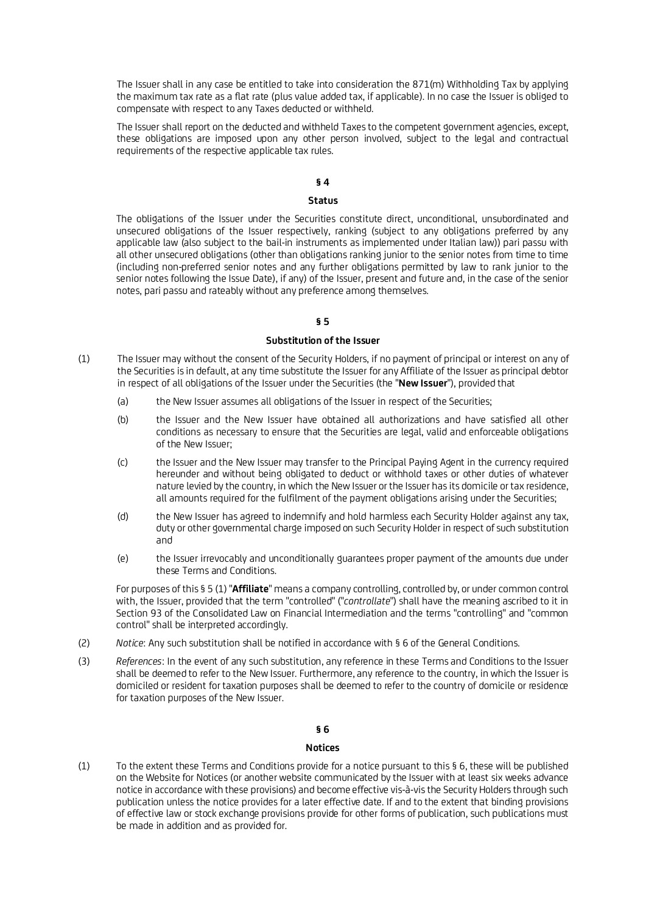The Issuer shall in any case be entitled to take into consideration the 871(m) Withholding Tax by applying the maximum tax rate as a flat rate (plus value added tax, if applicable). In no case the Issuer is obliged to compensate with respect to any Taxes deducted or withheld.

The Issuer shall report on the deducted and withheld Taxes to the competent government agencies, except, these obligations are imposed upon any other person involved, subject to the legal and contractual requirements of the respective applicable tax rules.

# **§ 4**

# **Status**

The obligations of the Issuer under the Securities constitute direct, unconditional, unsubordinated and unsecured obligations of the Issuer respectively, ranking (subject to any obligations preferred by any applicable law (also subject to the bail-in instruments as implemented under Italian law)) pari passu with all other unsecured obligations (other than obligations ranking junior to the senior notes from time to time (including non-preferred senior notes and any further obligations permitted by law to rank junior to the senior notes following the Issue Date), if any) of the Issuer, present and future and, in the case of the senior notes, pari passu and rateably without any preference among themselves.

# **§ 5**

### **Substitution of the Issuer**

- (1) The Issuer may without the consent of the Security Holders, if no payment of principal or interest on any of the Securities is in default, at any time substitute the Issuer for any Affiliate of the Issuer as principal debtor in respect of all obligations of the Issuer under the Securities (the "**New Issuer**"), provided that
	- (a) the New Issuer assumes all obligations of the Issuer in respect of the Securities;
	- (b) the Issuer and the New Issuer have obtained all authorizations and have satisfied all other conditions as necessary to ensure that the Securities are legal, valid and enforceable obligations of the New Issuer;
	- (c) the Issuer and the New Issuer may transfer to the Principal Paying Agent in the currency required hereunder and without being obligated to deduct or withhold taxes or other duties of whatever nature levied by the country, in which the New Issuer or the Issuer has its domicile or tax residence, all amounts required for the fulfilment of the payment obligations arising under the Securities;
	- (d) the New Issuer has agreed to indemnify and hold harmless each Security Holder against any tax, duty or other governmental charge imposed on such Security Holder in respect of such substitution and
	- (e) the Issuer irrevocably and unconditionally guarantees proper payment of the amounts due under these Terms and Conditions.

For purposes of this § 5 (1) "**Affiliate**" means a company controlling, controlled by, or under common control with, the Issuer, provided that the term "controlled" ("*controllate*") shall have the meaning ascribed to it in Section 93 of the Consolidated Law on Financial Intermediation and the terms "controlling" and "common control" shall be interpreted accordingly.

- (2) *Notice*: Any such substitution shall be notified in accordance with § 6 of the General Conditions.
- (3) *References*: In the event of any such substitution, any reference in these Terms and Conditions to the Issuer shall be deemed to refer to the New Issuer. Furthermore, any reference to the country, in which the Issuer is domiciled or resident for taxation purposes shall be deemed to refer to the country of domicile or residence for taxation purposes of the New Issuer.

# **§ 6**

### **Notices**

(1) To the extent these Terms and Conditions provide for a notice pursuant to this § 6, these will be published on the Website for Notices (or another website communicated by the Issuer with at least six weeks advance notice in accordance with these provisions) and become effective vis-à-vis the Security Holders through such publication unless the notice provides for a later effective date. If and to the extent that binding provisions of effective law or stock exchange provisions provide for other forms of publication, such publications must be made in addition and as provided for.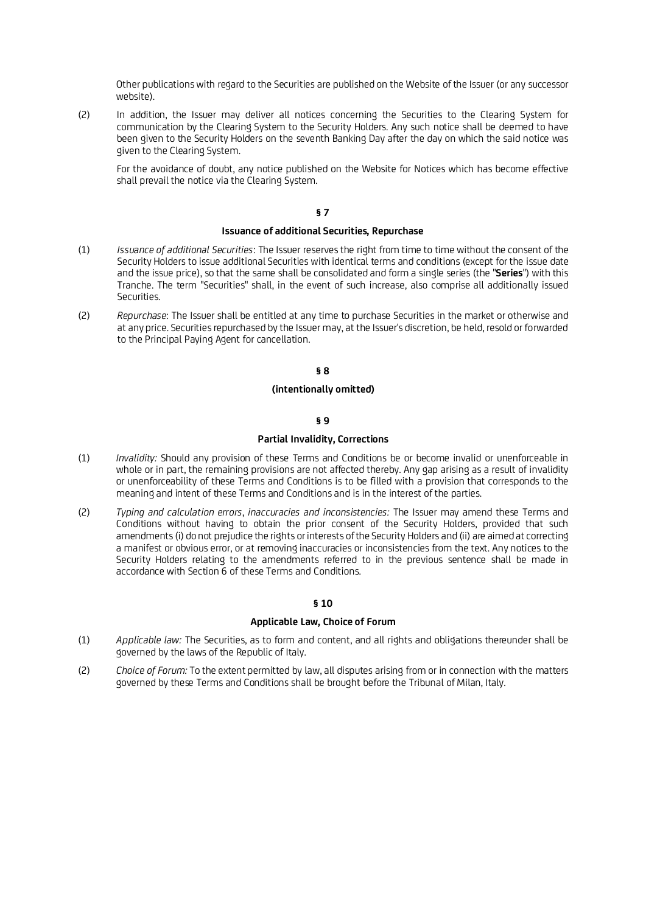Other publications with regard to the Securities are published on the Website of the Issuer (or any successor website).

(2) In addition, the Issuer may deliver all notices concerning the Securities to the Clearing System for communication by the Clearing System to the Security Holders. Any such notice shall be deemed to have been given to the Security Holders on the seventh Banking Day after the day on which the said notice was given to the Clearing System.

For the avoidance of doubt, any notice published on the Website for Notices which has become effective shall prevail the notice via the Clearing System.

### **§ 7**

# **Issuance of additional Securities, Repurchase**

- (1) *Issuance of additional Securities*: The Issuer reserves the right from time to time without the consent of the Security Holders to issue additional Securities with identical terms and conditions (except for the issue date and the issue price), so that the same shall be consolidated and form a single series (the "**Series**") with this Tranche. The term "Securities" shall, in the event of such increase, also comprise all additionally issued Securities.
- (2) *Repurchase*: The Issuer shall be entitled at any time to purchase Securities in the market or otherwise and at any price. Securities repurchased by the Issuer may, at the Issuer's discretion, be held, resold or forwarded to the Principal Paying Agent for cancellation.

### **§ 8**

### **(intentionally omitted)**

# **§ 9**

### **Partial Invalidity, Corrections**

- (1) *Invalidity:* Should any provision of these Terms and Conditions be or become invalid or unenforceable in whole or in part, the remaining provisions are not affected thereby. Any gap arising as a result of invalidity or unenforceability of these Terms and Conditions is to be filled with a provision that corresponds to the meaning and intent of these Terms and Conditions and is in the interest of the parties.
- (2) *Typing and calculation errors*, *inaccuracies and inconsistencies:* The Issuer may amend these Terms and Conditions without having to obtain the prior consent of the Security Holders, provided that such amendments (i) do not prejudice the rights or interests of the Security Holders and (ii) are aimed at correcting a manifest or obvious error, or at removing inaccuracies or inconsistencies from the text. Any notices to the Security Holders relating to the amendments referred to in the previous sentence shall be made in accordance with Section 6 of these Terms and Conditions.

# **§ 10**

# **Applicable Law, Choice of Forum**

- (1) *Applicable law:* The Securities, as to form and content, and all rights and obligations thereunder shall be governed by the laws of the Republic of Italy.
- (2) *Choice of Forum:* To the extent permitted by law, all disputes arising from or in connection with the matters governed by these Terms and Conditions shall be brought before the Tribunal of Milan, Italy.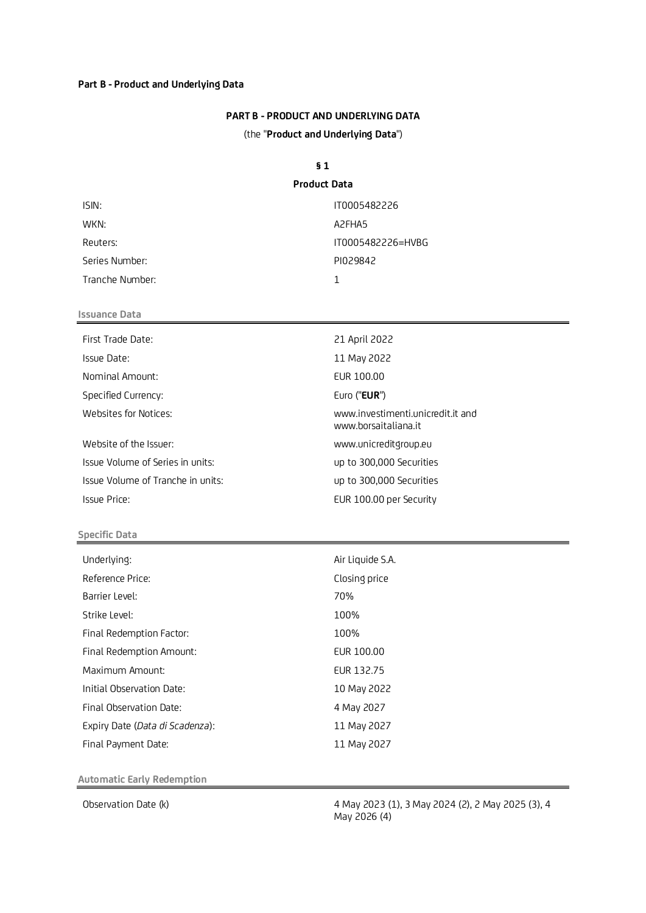# **Part B - Product and Underlying Data**

# **PART B - PRODUCT AND UNDERLYING DATA**

(the "**Product and Underlying Data**")

# **§ 1**

# **Product Data**

| ISIN:           | IT0005482226                    |
|-----------------|---------------------------------|
| WKN:            | A <sub>2</sub> FHA <sub>5</sub> |
| Reuters:        | IT0005482226=HVBG               |
| Series Number:  | PI029842                        |
| Tranche Number: |                                 |

# **Issuance Data**

| First Trade Date:                 | 21 April 2022                                             |
|-----------------------------------|-----------------------------------------------------------|
| Issue Date:                       | 11 May 2022                                               |
| Nominal Amount:                   | EUR 100.00                                                |
| Specified Currency:               | Euro (" <b>EUR</b> ")                                     |
| Websites for Notices:             | www.investimenti.unicredit.it and<br>www.borsaitaliana.it |
| Website of the Issuer:            | www.unicreditgroup.eu                                     |
| Issue Volume of Series in units:  | up to 300,000 Securities                                  |
| Issue Volume of Tranche in units: | up to 300,000 Securities                                  |
| Issue Price:                      | EUR 100.00 per Security                                   |
|                                   |                                                           |

# **Specific Data**

| Underlying:                     | Air Liquide S.A. |
|---------------------------------|------------------|
| Reference Price:                | Closing price    |
| Barrier Level:                  | 70%              |
| Strike Level:                   | 100%             |
| Final Redemption Factor:        | 100%             |
| Final Redemption Amount:        | EUR 100.00       |
| Maximum Amount:                 | EUR 132.75       |
| Initial Observation Date:       | 10 May 2022      |
| Final Observation Date:         | 4 May 2027       |
| Expiry Date (Data di Scadenza): | 11 May 2027      |
| Final Payment Date:             | 11 May 2027      |

**Automatic Early Redemption**

Observation Date (k)  $\begin{array}{c} 4 \text{ May } 2023 \text{ (1), } 3 \text{ May } 2024 \text{ (2), } 2 \text{ May } 2025 \text{ (3), } 4 \end{array}$ May 2026 (4)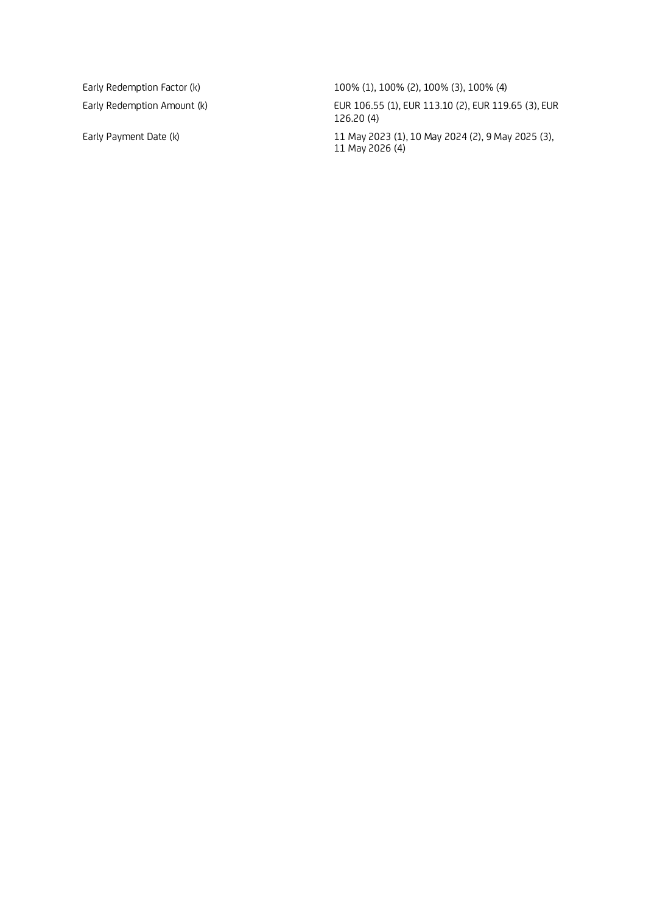Early Redemption Factor (k) 100% (1), 100% (2), 100% (3), 100% (4) Early Redemption Amount (k) <br>EUR 106.55 (1), EUR 113.10 (2), EUR 119.65 (3), EUR 126.20 (4) Early Payment Date (k) 11 May 2023 (1), 10 May 2024 (2), 9 May 2025 (3),

11 May 2026 (4)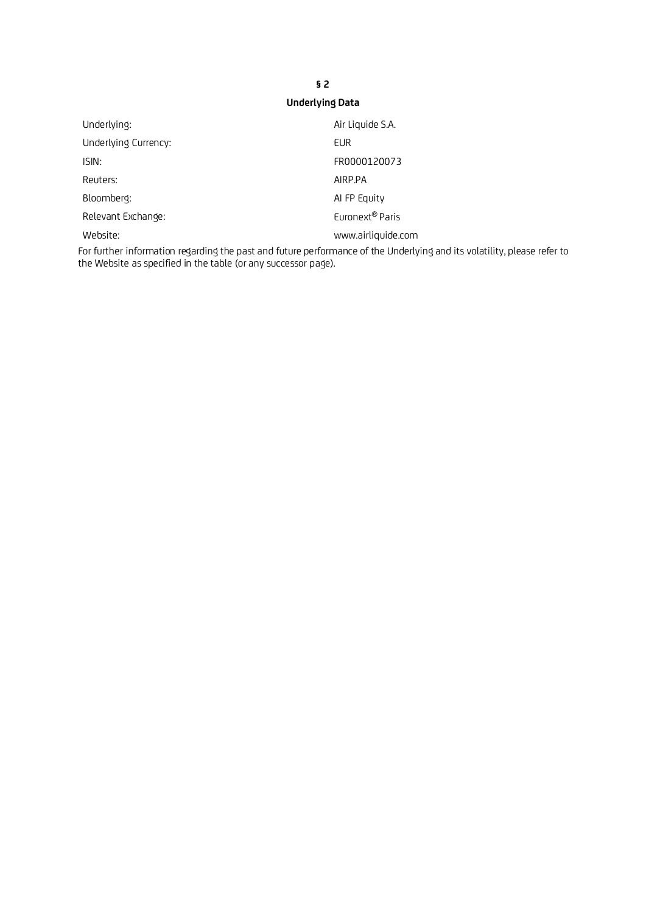# **§ 2 Underlying Data**

| Underlying:          | Air Liquide S.A.            |
|----------------------|-----------------------------|
| Underlying Currency: | EUR                         |
| ISIN:                | FR0000120073                |
| Reuters:             | AIRP.PA                     |
| Bloomberg:           | AI FP Equity                |
| Relevant Exchange:   | Euronext <sup>®</sup> Paris |
| Website:             | www.airliquide.com          |

For further information regarding the past and future performance of the Underlying and its volatility, please refer to the Website as specified in the table (or any successor page).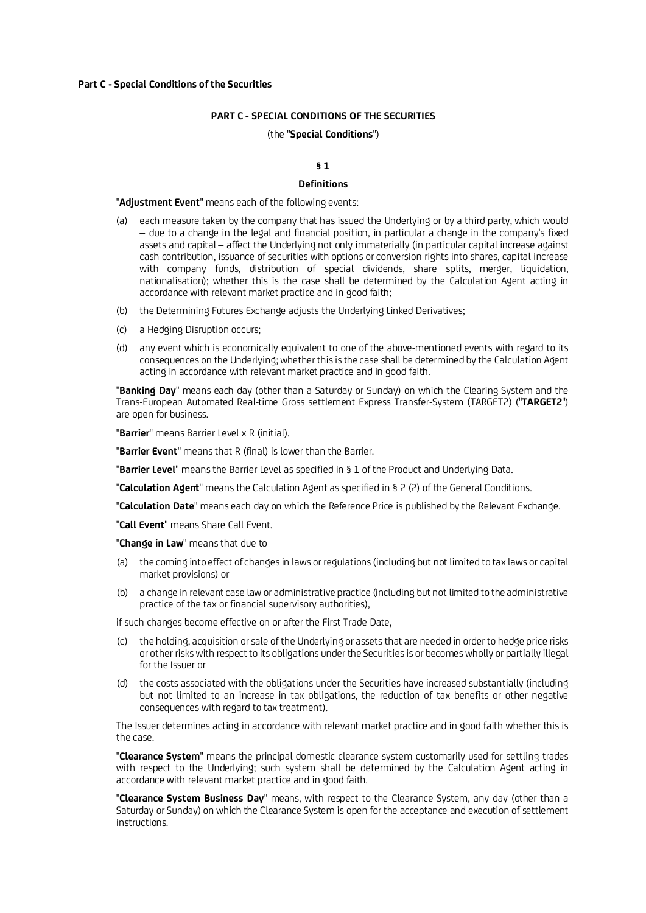#### **Part C - Special Conditions of the Securities**

## **PART C - SPECIAL CONDITIONS OF THE SECURITIES**

#### (the "**Special Conditions**")

# **§ 1**

### **Definitions**

#### "**Adjustment Event**" means each of the following events:

- (a) each measure taken by the company that has issued the Underlying or by a third party, which would – due to a change in the legal and financial position, in particular a change in the company's fixed assets and capital – affect the Underlying not only immaterially (in particular capital increase against cash contribution, issuance of securities with options or conversion rights into shares, capital increase with company funds, distribution of special dividends, share splits, merger, liquidation, nationalisation); whether this is the case shall be determined by the Calculation Agent acting in accordance with relevant market practice and in good faith;
- (b) the Determining Futures Exchange adjusts the Underlying Linked Derivatives;
- (c) a Hedging Disruption occurs;
- (d) any event which is economically equivalent to one of the above-mentioned events with regard to its consequences on the Underlying; whether this is the case shall be determined by the Calculation Agent acting in accordance with relevant market practice and in good faith.

"**Banking Day**" means each day (other than a Saturday or Sunday) on which the Clearing System and the Trans-European Automated Real-time Gross settlement Express Transfer-System (TARGET2) ("**TARGET2**") are open for business.

"**Barrier**" means Barrier Level x R (initial).

"**Barrier Event**" means that R (final) is lower than the Barrier.

"**Barrier Level**" means the Barrier Level as specified in § 1 of the Product and Underlying Data.

"**Calculation Agent**" means the Calculation Agent as specified in § 2 (2) of the General Conditions.

"**Calculation Date**" means each day on which the Reference Price is published by the Relevant Exchange.

"**Call Event**" means Share Call Event.

"**Change in Law**" means that due to

- (a) the coming into effect of changes in laws or regulations (including but not limited to tax laws or capital market provisions) or
- (b) a change in relevant case law or administrative practice (including but not limited to the administrative practice of the tax or financial supervisory authorities),

if such changes become effective on or after the First Trade Date,

- (c) the holding, acquisition or sale of the Underlying or assets that are needed in order to hedge price risks or other risks with respect to its obligations under the Securities is or becomes wholly or partially illegal for the Issuer or
- (d) the costs associated with the obligations under the Securities have increased substantially (including but not limited to an increase in tax obligations, the reduction of tax benefits or other negative consequences with regard to tax treatment).

The Issuer determines acting in accordance with relevant market practice and in good faith whether this is the case.

"**Clearance System**" means the principal domestic clearance system customarily used for settling trades with respect to the Underlying; such system shall be determined by the Calculation Agent acting in accordance with relevant market practice and in good faith.

"**Clearance System Business Day**" means, with respect to the Clearance System, any day (other than a Saturday or Sunday) on which the Clearance System is open for the acceptance and execution of settlement instructions.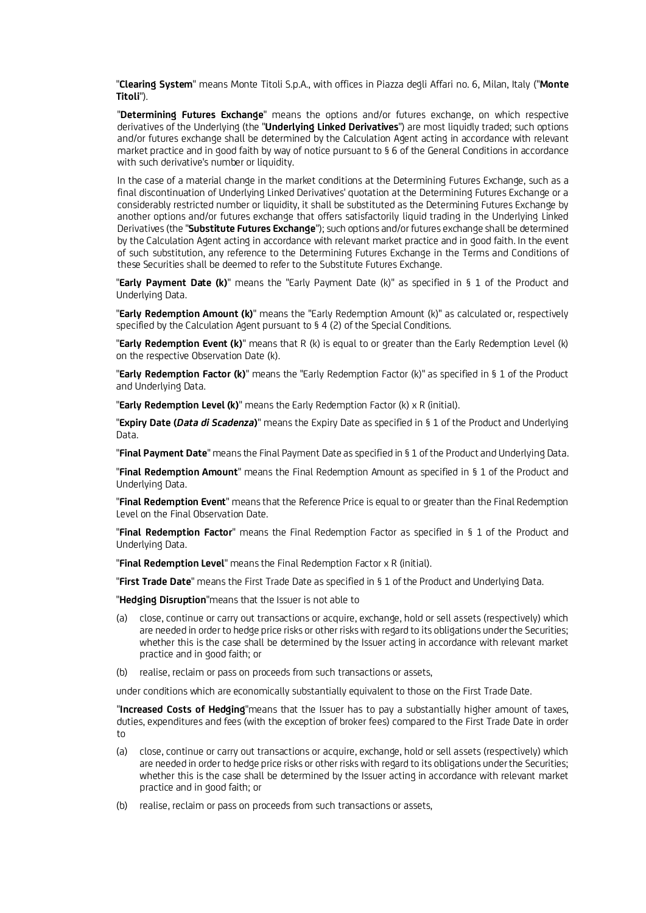"**Clearing System**" means Monte Titoli S.p.A., with offices in Piazza degli Affari no. 6, Milan, Italy ("**Monte Titoli**").

"**Determining Futures Exchange**" means the options and/or futures exchange, on which respective derivatives of the Underlying (the "**Underlying Linked Derivatives**") are most liquidly traded; such options and/or futures exchange shall be determined by the Calculation Agent acting in accordance with relevant market practice and in good faith by way of notice pursuant to § 6 of the General Conditions in accordance with such derivative's number or liquidity.

In the case of a material change in the market conditions at the Determining Futures Exchange, such as a final discontinuation of Underlying Linked Derivatives' quotation at the Determining Futures Exchange or a considerably restricted number or liquidity, it shall be substituted as the Determining Futures Exchange by another options and/or futures exchange that offers satisfactorily liquid trading in the Underlying Linked Derivatives (the "**Substitute Futures Exchange**"); such options and/or futures exchange shall be determined by the Calculation Agent acting in accordance with relevant market practice and in good faith. In the event of such substitution, any reference to the Determining Futures Exchange in the Terms and Conditions of these Securities shall be deemed to refer to the Substitute Futures Exchange.

"**Early Payment Date (k)**" means the "Early Payment Date (k)" as specified in § 1 of the Product and Underlying Data.

"**Early Redemption Amount (k)**" means the "Early Redemption Amount (k)" as calculated or, respectively specified by the Calculation Agent pursuant to § 4 (2) of the Special Conditions.

"**Early Redemption Event (k)**" means that R (k) is equal to or greater than the Early Redemption Level (k) on the respective Observation Date (k).

"**Early Redemption Factor (k)**" means the "Early Redemption Factor (k)" as specified in § 1 of the Product and Underlying Data.

"**Early Redemption Level (k)**" means the Early Redemption Factor (k) x R (initial).

"**Expiry Date (***Data di Scadenza***)**" means the Expiry Date as specified in § 1 of the Product and Underlying Data.

"**Final Payment Date**" means the Final Payment Date as specified in § 1 of the Product and Underlying Data.

"**Final Redemption Amount**" means the Final Redemption Amount as specified in § 1 of the Product and Underlying Data.

"**Final Redemption Event**" means that the Reference Price is equal to or greater than the Final Redemption Level on the Final Observation Date.

"**Final Redemption Factor**" means the Final Redemption Factor as specified in § 1 of the Product and Underlying Data.

"**Final Redemption Level**" means the Final Redemption Factor x R (initial).

"**First Trade Date**" means the First Trade Date as specified in § 1 of the Product and Underlying Data.

"**Hedging Disruption**"means that the Issuer is not able to

- (a) close, continue or carry out transactions or acquire, exchange, hold or sell assets (respectively) which are needed in order to hedge price risks or other risks with regard to its obligations under the Securities; whether this is the case shall be determined by the Issuer acting in accordance with relevant market practice and in good faith; or
- (b) realise, reclaim or pass on proceeds from such transactions or assets,

under conditions which are economically substantially equivalent to those on the First Trade Date.

"**Increased Costs of Hedging**"means that the Issuer has to pay a substantially higher amount of taxes, duties, expenditures and fees (with the exception of broker fees) compared to the First Trade Date in order to

- (a) close, continue or carry out transactions or acquire, exchange, hold or sell assets (respectively) which are needed in order to hedge price risks or other risks with regard to its obligations under the Securities; whether this is the case shall be determined by the Issuer acting in accordance with relevant market practice and in good faith; or
- (b) realise, reclaim or pass on proceeds from such transactions or assets,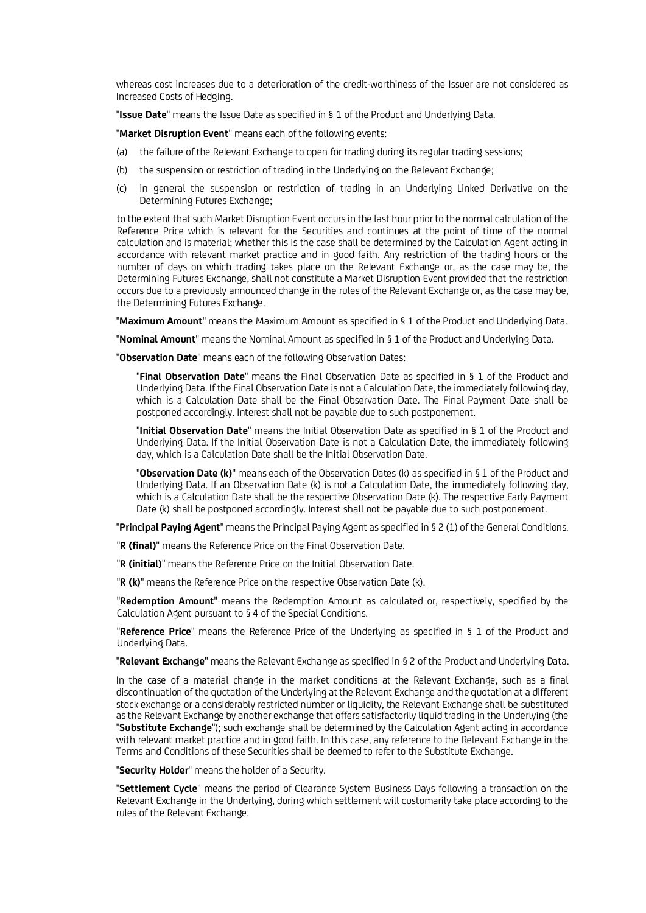whereas cost increases due to a deterioration of the credit-worthiness of the Issuer are not considered as Increased Costs of Hedging.

"**Issue Date**" means the Issue Date as specified in § 1 of the Product and Underlying Data.

"**Market Disruption Event**" means each of the following events:

- (a) the failure of the Relevant Exchange to open for trading during its regular trading sessions;
- (b) the suspension or restriction of trading in the Underlying on the Relevant Exchange;
- (c) in general the suspension or restriction of trading in an Underlying Linked Derivative on the Determining Futures Exchange;

to the extent that such Market Disruption Event occurs in the last hour prior to the normal calculation of the Reference Price which is relevant for the Securities and continues at the point of time of the normal calculation and is material; whether this is the case shall be determined by the Calculation Agent acting in accordance with relevant market practice and in good faith. Any restriction of the trading hours or the number of days on which trading takes place on the Relevant Exchange or, as the case may be, the Determining Futures Exchange, shall not constitute a Market Disruption Event provided that the restriction occurs due to a previously announced change in the rules of the Relevant Exchange or, as the case may be, the Determining Futures Exchange.

"**Maximum Amount**" means the Maximum Amount as specified in § 1 of the Product and Underlying Data.

"**Nominal Amount**" means the Nominal Amount as specified in § 1 of the Product and Underlying Data.

"**Observation Date**" means each of the following Observation Dates:

"**Final Observation Date**" means the Final Observation Date as specified in § 1 of the Product and Underlying Data. If the Final Observation Date is not a Calculation Date, the immediately following day, which is a Calculation Date shall be the Final Observation Date. The Final Payment Date shall be postponed accordingly. Interest shall not be payable due to such postponement.

"**Initial Observation Date**" means the Initial Observation Date as specified in § 1 of the Product and Underlying Data. If the Initial Observation Date is not a Calculation Date, the immediately following day, which is a Calculation Date shall be the Initial Observation Date.

"**Observation Date (k)**" means each of the Observation Dates (k) as specified in § 1 of the Product and Underlying Data. If an Observation Date (k) is not a Calculation Date, the immediately following day, which is a Calculation Date shall be the respective Observation Date (k). The respective Early Payment Date (k) shall be postponed accordingly. Interest shall not be payable due to such postponement.

"**Principal Paying Agent**" means the Principal Paying Agent as specified in § 2 (1) of the General Conditions.

"**R (final)**" means the Reference Price on the Final Observation Date.

"**R (initial)**" means the Reference Price on the Initial Observation Date.

"**R (k)**" means the Reference Price on the respective Observation Date (k).

"**Redemption Amount**" means the Redemption Amount as calculated or, respectively, specified by the Calculation Agent pursuant to § 4 of the Special Conditions.

"**Reference Price**" means the Reference Price of the Underlying as specified in § 1 of the Product and Underlying Data.

"**Relevant Exchange**" means the Relevant Exchange as specified in § 2 of the Product and Underlying Data.

In the case of a material change in the market conditions at the Relevant Exchange, such as a final discontinuation of the quotation of the Underlying at the Relevant Exchange and the quotation at a different stock exchange or a considerably restricted number or liquidity, the Relevant Exchange shall be substituted as the Relevant Exchange by another exchange that offers satisfactorily liquid trading in the Underlying (the "**Substitute Exchange**"); such exchange shall be determined by the Calculation Agent acting in accordance with relevant market practice and in good faith. In this case, any reference to the Relevant Exchange in the Terms and Conditions of these Securities shall be deemed to refer to the Substitute Exchange.

"**Security Holder**" means the holder of a Security.

"**Settlement Cycle**" means the period of Clearance System Business Days following a transaction on the Relevant Exchange in the Underlying, during which settlement will customarily take place according to the rules of the Relevant Exchange.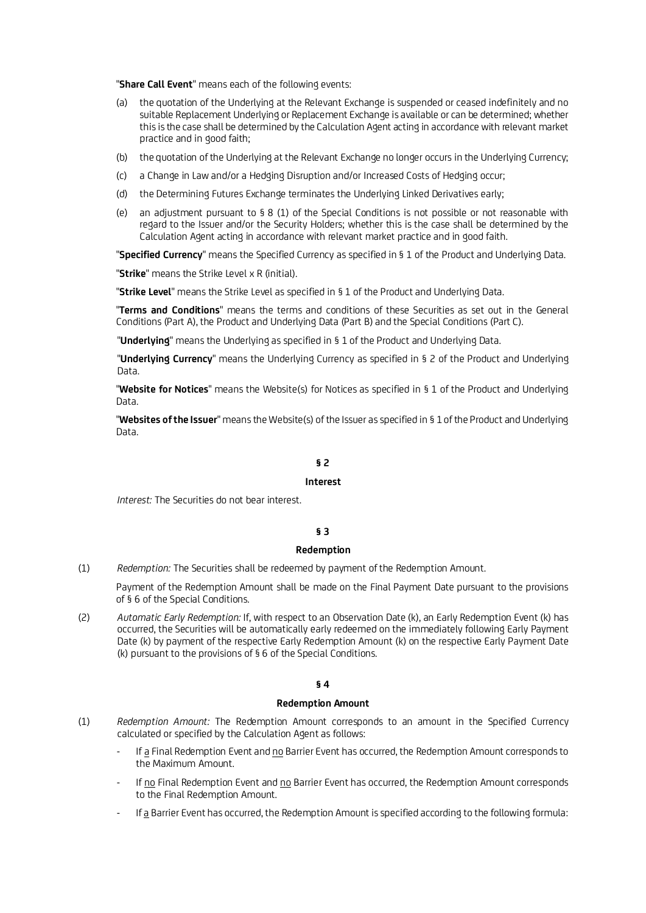"**Share Call Event**" means each of the following events:

- (a) the quotation of the Underlying at the Relevant Exchange is suspended or ceased indefinitely and no suitable Replacement Underlying or Replacement Exchange is available or can be determined; whether this is the case shall be determined by the Calculation Agent acting in accordance with relevant market practice and in good faith;
- (b) the quotation of the Underlying at the Relevant Exchange no longer occurs in the Underlying Currency;
- (c) a Change in Law and/or a Hedging Disruption and/or Increased Costs of Hedging occur;
- (d) the Determining Futures Exchange terminates the Underlying Linked Derivatives early;
- (e) an adjustment pursuant to § 8 (1) of the Special Conditions is not possible or not reasonable with regard to the Issuer and/or the Security Holders; whether this is the case shall be determined by the Calculation Agent acting in accordance with relevant market practice and in good faith.

"**Specified Currency**" means the Specified Currency as specified in § 1 of the Product and Underlying Data.

"**Strike**" means the Strike Level x R (initial).

"**Strike Level**" means the Strike Level as specified in § 1 of the Product and Underlying Data.

"**Terms and Conditions**" means the terms and conditions of these Securities as set out in the General Conditions (Part A), the Product and Underlying Data (Part B) and the Special Conditions (Part C).

"**Underlying**" means the Underlying as specified in § 1 of the Product and Underlying Data.

"**Underlying Currency**" means the Underlying Currency as specified in § 2 of the Product and Underlying Data.

"**Website for Notices**" means the Website(s) for Notices as specified in § 1 of the Product and Underlying Data.

"**Websites of the Issuer**" means the Website(s) of the Issuer as specified in § 1 of the Product and Underlying Data.

### **§ 2**

#### **Interest**

*Interest:* The Securities do not bear interest.

### **§ 3**

### **Redemption**

(1) *Redemption:* The Securities shall be redeemed by payment of the Redemption Amount.

Payment of the Redemption Amount shall be made on the Final Payment Date pursuant to the provisions of § 6 of the Special Conditions.

(2) *Automatic Early Redemption:* If, with respect to an Observation Date (k), an Early Redemption Event (k) has occurred, the Securities will be automatically early redeemed on the immediately following Early Payment Date (k) by payment of the respective Early Redemption Amount (k) on the respective Early Payment Date (k) pursuant to the provisions of § 6 of the Special Conditions.

### **§ 4**

#### **Redemption Amount**

- (1) *Redemption Amount:* The Redemption Amount corresponds to an amount in the Specified Currency calculated or specified by the Calculation Agent as follows:
	- If a Final Redemption Event and no Barrier Event has occurred, the Redemption Amount corresponds to the Maximum Amount.
	- If no Final Redemption Event and no Barrier Event has occurred, the Redemption Amount corresponds to the Final Redemption Amount.
	- If a Barrier Event has occurred, the Redemption Amount is specified according to the following formula: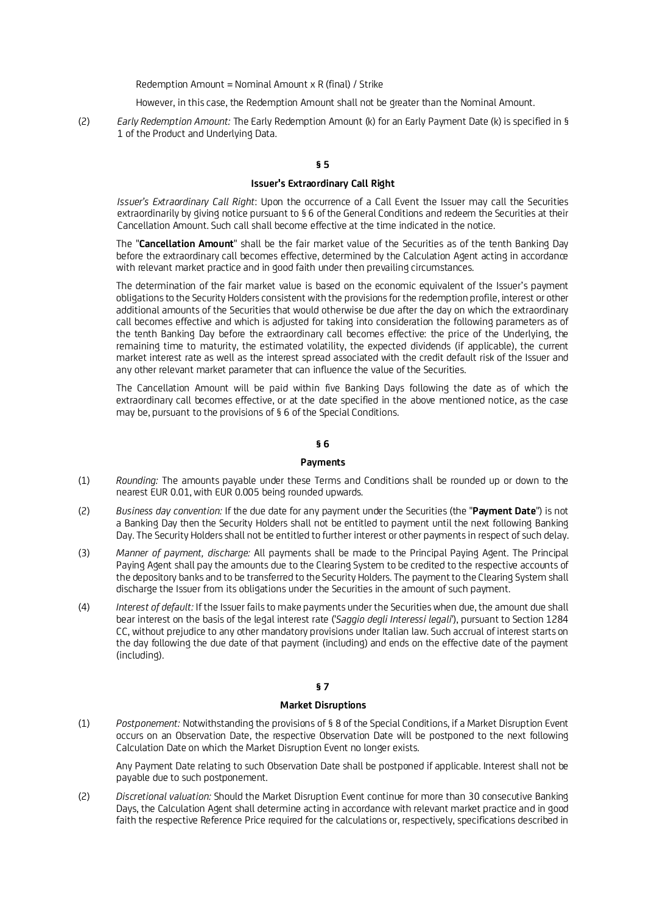Redemption Amount = Nominal Amount x R (final) / Strike

However, in this case, the Redemption Amount shall not be greater than the Nominal Amount.

(2) *Early Redemption Amount:* The Early Redemption Amount (k) for an Early Payment Date (k) is specified in § 1 of the Product and Underlying Data.

### **§ 5**

# **Issuer's Extraordinary Call Right**

*Issuer's Extraordinary Call Right*: Upon the occurrence of a Call Event the Issuer may call the Securities extraordinarily by giving notice pursuant to § 6 of the General Conditions and redeem the Securities at their Cancellation Amount. Such call shall become effective at the time indicated in the notice.

The "**Cancellation Amount**" shall be the fair market value of the Securities as of the tenth Banking Day before the extraordinary call becomes effective, determined by the Calculation Agent acting in accordance with relevant market practice and in good faith under then prevailing circumstances.

The determination of the fair market value is based on the economic equivalent of the Issuer's payment obligations to the Security Holders consistent with the provisions for the redemption profile, interest or other additional amounts of the Securities that would otherwise be due after the day on which the extraordinary call becomes effective and which is adjusted for taking into consideration the following parameters as of the tenth Banking Day before the extraordinary call becomes effective: the price of the Underlying, the remaining time to maturity, the estimated volatility, the expected dividends (if applicable), the current market interest rate as well as the interest spread associated with the credit default risk of the Issuer and any other relevant market parameter that can influence the value of the Securities.

The Cancellation Amount will be paid within five Banking Days following the date as of which the extraordinary call becomes effective, or at the date specified in the above mentioned notice, as the case may be, pursuant to the provisions of § 6 of the Special Conditions.

# **§ 6**

### **Payments**

- (1) *Rounding:* The amounts payable under these Terms and Conditions shall be rounded up or down to the nearest EUR 0.01, with EUR 0.005 being rounded upwards.
- (2) *Business day convention:* If the due date for any payment under the Securities (the "**Payment Date**") is not a Banking Day then the Security Holders shall not be entitled to payment until the next following Banking Day. The Security Holders shall not be entitled to further interest or other payments in respect of such delay.
- (3) *Manner of payment, discharge:* All payments shall be made to the Principal Paying Agent. The Principal Paying Agent shall pay the amounts due to the Clearing System to be credited to the respective accounts of the depository banks and to be transferred to the Security Holders. The payment to the Clearing System shall discharge the Issuer from its obligations under the Securities in the amount of such payment.
- (4) *Interest of default:* If the Issuer fails to make payments under the Securities when due, the amount due shall bear interest on the basis of the legal interest rate ('*Saggio degli Interessi legali*'), pursuant to Section 1284 CC, without prejudice to any other mandatory provisions under Italian law. Such accrual of interest starts on the day following the due date of that payment (including) and ends on the effective date of the payment (including).

### **§ 7**

#### **Market Disruptions**

(1) *Postponement:* Notwithstanding the provisions of § 8 of the Special Conditions, if a Market Disruption Event occurs on an Observation Date, the respective Observation Date will be postponed to the next following Calculation Date on which the Market Disruption Event no longer exists.

Any Payment Date relating to such Observation Date shall be postponed if applicable. Interest shall not be payable due to such postponement.

(2) *Discretional valuation:* Should the Market Disruption Event continue for more than 30 consecutive Banking Days, the Calculation Agent shall determine acting in accordance with relevant market practice and in good faith the respective Reference Price required for the calculations or, respectively, specifications described in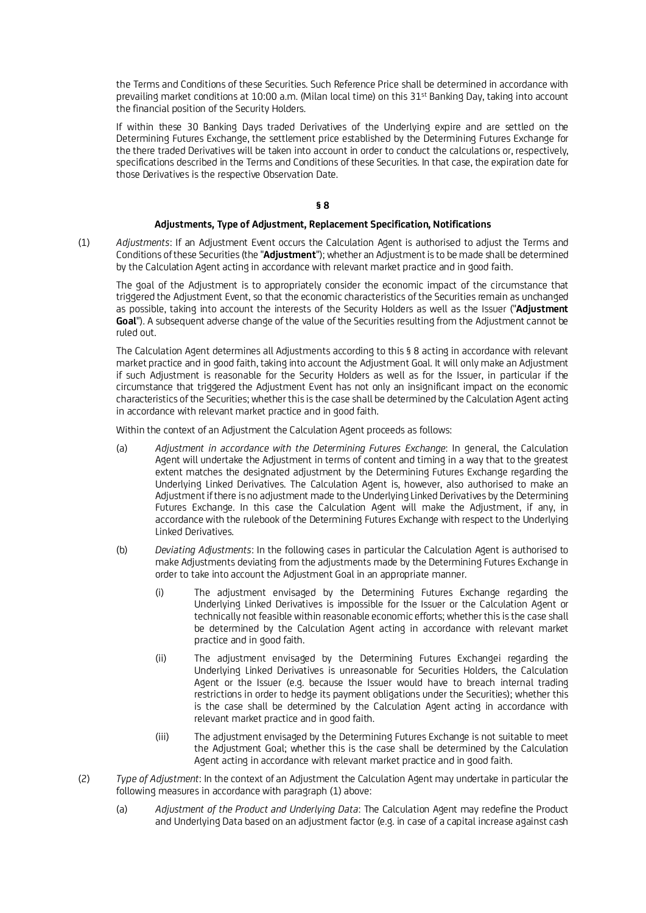the Terms and Conditions of these Securities. Such Reference Price shall be determined in accordance with prevailing market conditions at 10:00 a.m. (Milan local time) on this 31st Banking Day, taking into account the financial position of the Security Holders.

If within these 30 Banking Days traded Derivatives of the Underlying expire and are settled on the Determining Futures Exchange, the settlement price established by the Determining Futures Exchange for the there traded Derivatives will be taken into account in order to conduct the calculations or, respectively, specifications described in the Terms and Conditions of these Securities. In that case, the expiration date for those Derivatives is the respective Observation Date.

# **§ 8**

### **Adjustments, Type of Adjustment, Replacement Specification, Notifications**

(1) *Adjustments*: If an Adjustment Event occurs the Calculation Agent is authorised to adjust the Terms and Conditions of these Securities (the "**Adjustment**"); whether an Adjustment is to be made shall be determined by the Calculation Agent acting in accordance with relevant market practice and in good faith.

The goal of the Adjustment is to appropriately consider the economic impact of the circumstance that triggered the Adjustment Event, so that the economic characteristics of the Securities remain as unchanged as possible, taking into account the interests of the Security Holders as well as the Issuer ("**Adjustment Goal**"). A subsequent adverse change of the value of the Securities resulting from the Adjustment cannot be ruled out.

The Calculation Agent determines all Adjustments according to this § 8 acting in accordance with relevant market practice and in good faith, taking into account the Adjustment Goal. It will only make an Adjustment if such Adjustment is reasonable for the Security Holders as well as for the Issuer, in particular if the circumstance that triggered the Adjustment Event has not only an insignificant impact on the economic characteristics of the Securities; whether this is the case shall be determined by the Calculation Agent acting in accordance with relevant market practice and in good faith.

Within the context of an Adjustment the Calculation Agent proceeds as follows:

- (a) *Adjustment in accordance with the Determining Futures Exchange*: In general, the Calculation Agent will undertake the Adjustment in terms of content and timing in a way that to the greatest extent matches the designated adjustment by the Determining Futures Exchange regarding the Underlying Linked Derivatives. The Calculation Agent is, however, also authorised to make an Adjustment if there is no adjustment made to the Underlying Linked Derivatives by the Determining Futures Exchange. In this case the Calculation Agent will make the Adjustment, if any, in accordance with the rulebook of the Determining Futures Exchange with respect to the Underlying Linked Derivatives.
- (b) *Deviating Adjustments*: In the following cases in particular the Calculation Agent is authorised to make Adjustments deviating from the adjustments made by the Determining Futures Exchange in order to take into account the Adjustment Goal in an appropriate manner.
	- (i) The adjustment envisaged by the Determining Futures Exchange regarding the Underlying Linked Derivatives is impossible for the Issuer or the Calculation Agent or technically not feasible within reasonable economic efforts; whether this is the case shall be determined by the Calculation Agent acting in accordance with relevant market practice and in good faith.
	- (ii) The adjustment envisaged by the Determining Futures Exchangei regarding the Underlying Linked Derivatives is unreasonable for Securities Holders, the Calculation Agent or the Issuer (e.g. because the Issuer would have to breach internal trading restrictions in order to hedge its payment obligations under the Securities); whether this is the case shall be determined by the Calculation Agent acting in accordance with relevant market practice and in good faith.
	- (iii) The adjustment envisaged by the Determining Futures Exchange is not suitable to meet the Adjustment Goal; whether this is the case shall be determined by the Calculation Agent acting in accordance with relevant market practice and in good faith.
- (2) *Type of Adjustment*: In the context of an Adjustment the Calculation Agent may undertake in particular the following measures in accordance with paragraph (1) above:
	- (a) *Adjustment of the Product and Underlying Data*: The Calculation Agent may redefine the Product and Underlying Data based on an adjustment factor (e.g. in case of a capital increase against cash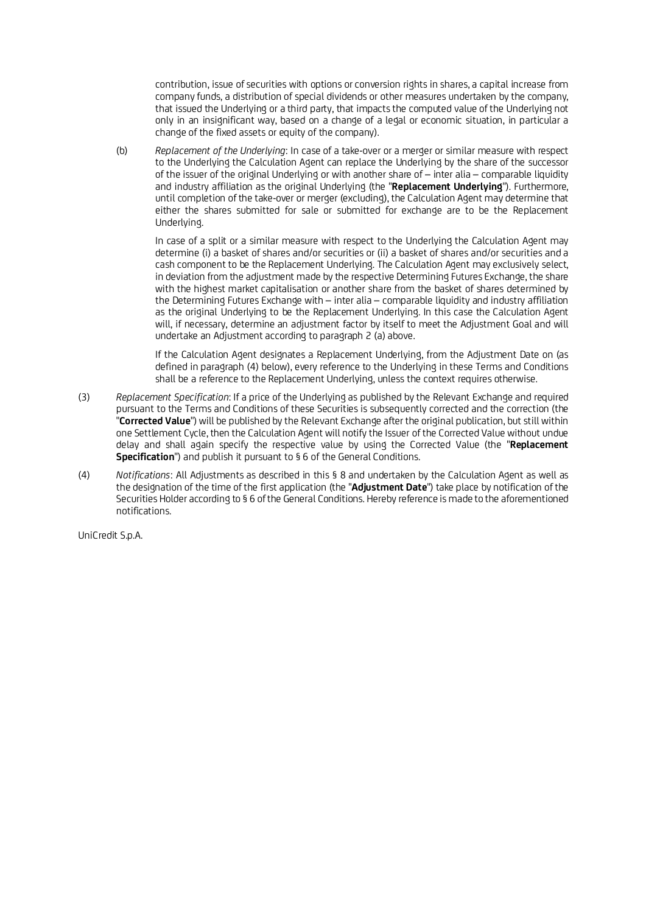contribution, issue of securities with options or conversion rights in shares, a capital increase from company funds, a distribution of special dividends or other measures undertaken by the company, that issued the Underlying or a third party, that impacts the computed value of the Underlying not only in an insignificant way, based on a change of a legal or economic situation, in particular a change of the fixed assets or equity of the company).

(b) *Replacement of the Underlying*: In case of a take-over or a merger or similar measure with respect to the Underlying the Calculation Agent can replace the Underlying by the share of the successor of the issuer of the original Underlying or with another share of – inter alia – comparable liquidity and industry affiliation as the original Underlying (the "**Replacement Underlying**"). Furthermore, until completion of the take-over or merger (excluding), the Calculation Agent may determine that either the shares submitted for sale or submitted for exchange are to be the Replacement Underlying.

In case of a split or a similar measure with respect to the Underlying the Calculation Agent may determine (i) a basket of shares and/or securities or (ii) a basket of shares and/or securities and a cash component to be the Replacement Underlying. The Calculation Agent may exclusively select, in deviation from the adjustment made by the respective Determining Futures Exchange, the share with the highest market capitalisation or another share from the basket of shares determined by the Determining Futures Exchange with – inter alia – comparable liquidity and industry affiliation as the original Underlying to be the Replacement Underlying. In this case the Calculation Agent will, if necessary, determine an adjustment factor by itself to meet the Adjustment Goal and will undertake an Adjustment according to paragraph 2 (a) above.

If the Calculation Agent designates a Replacement Underlying, from the Adjustment Date on (as defined in paragraph (4) below), every reference to the Underlying in these Terms and Conditions shall be a reference to the Replacement Underlying, unless the context requires otherwise.

- (3) *Replacement Specification*: If a price of the Underlying as published by the Relevant Exchange and required pursuant to the Terms and Conditions of these Securities is subsequently corrected and the correction (the "**Corrected Value**") will be published by the Relevant Exchange after the original publication, but still within one Settlement Cycle, then the Calculation Agent will notify the Issuer of the Corrected Value without undue delay and shall again specify the respective value by using the Corrected Value (the "**Replacement Specification**") and publish it pursuant to § 6 of the General Conditions.
- (4) *Notifications*: All Adjustments as described in this § 8 and undertaken by the Calculation Agent as well as the designation of the time of the first application (the "**Adjustment Date**") take place by notification of the Securities Holder according to § 6 of the General Conditions. Hereby reference is made to the aforementioned notifications.

UniCredit S.p.A.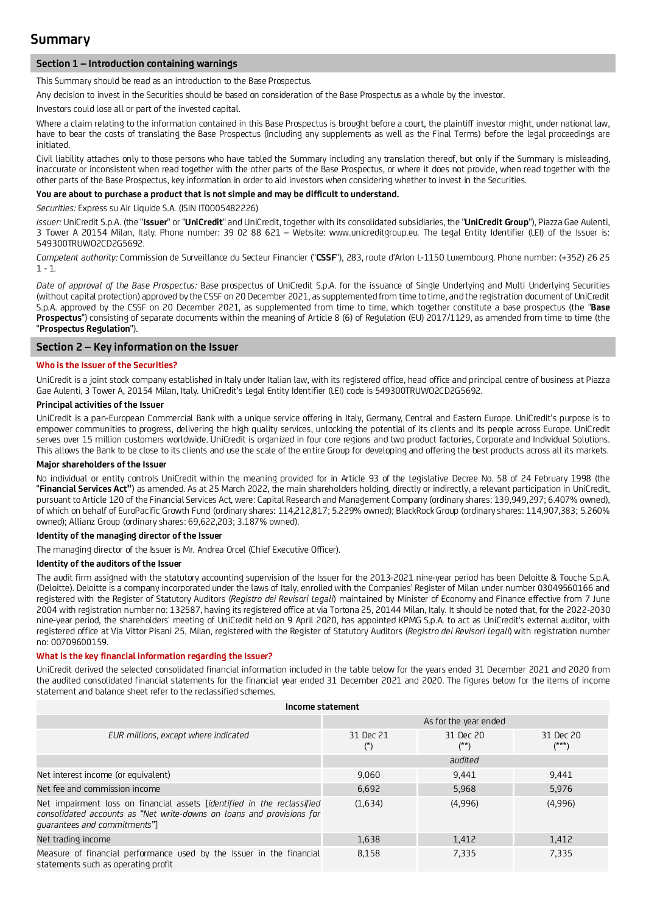# **Section 1 – Introduction containing warnings**

This Summary should be read as an introduction to the Base Prospectus.

Any decision to invest in the Securities should be based on consideration of the Base Prospectus as a whole by the investor.

Investors could lose all or part of the invested capital.

Where a claim relating to the information contained in this Base Prospectus is brought before a court, the plaintiff investor might, under national law, have to bear the costs of translating the Base Prospectus (including any supplements as well as the Final Terms) before the legal proceedings are initiated.

Civil liability attaches only to those persons who have tabled the Summary including any translation thereof, but only if the Summary is misleading, inaccurate or inconsistent when read together with the other parts of the Base Prospectus, or where it does not provide, when read together with the other parts of the Base Prospectus, key information in order to aid investors when considering whether to invest in the Securities.

### **You are about to purchase a product that is not simple and may be difficult to understand.**

*Securities:* Express su Air Liquide S.A. (ISIN IT0005482226)

*Issuer:* UniCredit S.p.A. (the "**Issuer**" or "**UniCredit**" and UniCredit, together with its consolidated subsidiaries, the "**UniCredit Group**"), Piazza Gae Aulenti, 3 Tower A 20154 Milan, Italy. Phone number: 39 02 88 621 – Website: www.unicreditgroup.eu. The Legal Entity Identifier (LEI) of the Issuer is: 549300TRUWO2CD2G5692.

*Competent authority:* Commission de Surveillance du Secteur Financier ("**CSSF**"), 283, route d'Arlon L-1150 Luxembourg. Phone number: (+352) 26 25 1 - 1.

*Date of approval of the Base Prospectus:* Base prospectus of UniCredit S.p.A. for the issuance of Single Underlying and Multi Underlying Securities (without capital protection) approved by the CSSF on 20 December 2021, as supplemented from time to time, and the registration document of UniCredit S.p.A. approved by the CSSF on 20 December 2021, as supplemented from time to time, which together constitute a base prospectus (the "**Base Prospectus**") consisting of separate documents within the meaning of Article 8 (6) of Regulation (EU) 2017/1129, as amended from time to time (the "**Prospectus Regulation**").

## **Section 2 – Key information on the Issuer**

#### **Who is the Issuer of the Securities?**

UniCredit is a joint stock company established in Italy under Italian law, with its registered office, head office and principal centre of business at Piazza Gae Aulenti, 3 Tower A, 20154 Milan, Italy. UniCredit's Legal Entity Identifier (LEI) code is 549300TRUWO2CD2G5692.

#### **Principal activities of the Issuer**

UniCredit is a pan-European Commercial Bank with a unique service offering in Italy, Germany, Central and Eastern Europe. UniCredit's purpose is to empower communities to progress, delivering the high quality services, unlocking the potential of its clients and its people across Europe. UniCredit serves over 15 million customers worldwide. UniCredit is organized in four core regions and two product factories, Corporate and Individual Solutions. This allows the Bank to be close to its clients and use the scale of the entire Group for developing and offering the best products across all its markets.

#### **Major shareholders of the Issuer**

No individual or entity controls UniCredit within the meaning provided for in Article 93 of the Legislative Decree No. 58 of 24 February 1998 (the "**Financial Services Act"**) as amended. As at 25 March 2022, the main shareholders holding, directly or indirectly, a relevant participation in UniCredit, pursuant to Article 120 of the Financial Services Act, were: Capital Research and Management Company (ordinary shares: 139,949,297; 6.407% owned), of which on behalf of EuroPacific Growth Fund (ordinary shares: 114,212,817; 5.229% owned); BlackRock Group (ordinary shares: 114,907,383; 5.260% owned); Allianz Group (ordinary shares: 69,622,203; 3.187% owned).

# **Identity of the managing director of the Issuer**

The managing director of the Issuer is Mr. Andrea Orcel (Chief Executive Officer).

### **Identity of the auditors of the Issuer**

The audit firm assigned with the statutory accounting supervision of the Issuer for the 2013-2021 nine-year period has been Deloitte & Touche S.p.A. (Deloitte). Deloitte is a company incorporated under the laws of Italy, enrolled with the Companies' Register of Milan under number 03049560166 and registered with the Register of Statutory Auditors (*Registro dei Revisori Legali*) maintained by Minister of Economy and Finance effective from 7 June 2004 with registration number no: 132587, having its registered office at via Tortona 25, 20144 Milan, Italy. It should be noted that, for the 2022-2030 nine-year period, the shareholders' meeting of UniCredit held on 9 April 2020, has appointed KPMG S.p.A. to act as UniCredit's external auditor, with registered office at Via Vittor Pisani 25, Milan, registered with the Register of Statutory Auditors (*Registro dei Revisori Legali*) with registration number no: 00709600159.

### **What is the key financial information regarding the Issuer?**

UniCredit derived the selected consolidated financial information included in the table below for the years ended 31 December 2021 and 2020 from the audited consolidated financial statements for the financial year ended 31 December 2021 and 2020. The figures below for the items of income statement and balance sheet refer to the reclassified schemes.

| Income statement                                                                                                                                                                        |                    |                       |                      |  |  |
|-----------------------------------------------------------------------------------------------------------------------------------------------------------------------------------------|--------------------|-----------------------|----------------------|--|--|
|                                                                                                                                                                                         |                    | As for the year ended |                      |  |  |
| EUR millions, except where indicated                                                                                                                                                    | 31 Dec 21<br>$(*)$ | 31 Dec 20<br>(**)     | 31 Dec 20<br>$(***)$ |  |  |
|                                                                                                                                                                                         |                    | audited               |                      |  |  |
| Net interest income (or equivalent)                                                                                                                                                     | 9,060              | 9,441                 | 9,441                |  |  |
| Net fee and commission income                                                                                                                                                           | 6,692              | 5,968                 | 5,976                |  |  |
| Net impairment loss on financial assets <i>[identified in the reclassified</i><br>consolidated accounts as "Net write-downs on loans and provisions for<br>quarantees and commitments"] | (1,634)            | (4,996)               | (4,996)              |  |  |
| Net trading income                                                                                                                                                                      | 1,638              | 1,412                 | 1,412                |  |  |
| Measure of financial performance used by the Issuer in the financial<br>statements such as operating profit                                                                             | 8,158              | 7,335                 | 7,335                |  |  |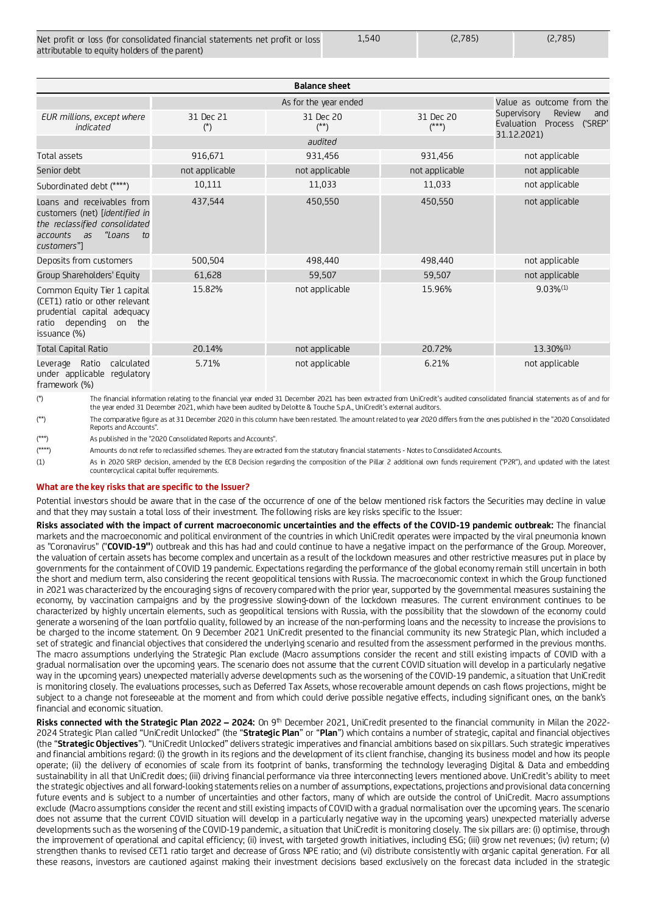| Net profit or loss (for consolidated financial statements net profit or loss | 1.540 | (2,785) | (2.785) |
|------------------------------------------------------------------------------|-------|---------|---------|
| attributable to equity holders of the parent)                                |       |         |         |

| <b>Balance sheet</b>                                                                                                                               |                          |                       |                      |                                                               |
|----------------------------------------------------------------------------------------------------------------------------------------------------|--------------------------|-----------------------|----------------------|---------------------------------------------------------------|
|                                                                                                                                                    |                          | As for the year ended |                      | Value as outcome from the                                     |
| EUR millions, except where<br>indicated                                                                                                            | 31 Dec 21<br>$(\dot{r})$ | 31 Dec 20<br>(**)     | 31 Dec 20<br>$(***)$ | Review<br>Supervisory<br>and<br>Evaluation Process<br>('SREP' |
|                                                                                                                                                    |                          | audited               |                      | 31.12.2021)                                                   |
| Total assets                                                                                                                                       | 916,671                  | 931,456               | 931,456              | not applicable                                                |
| Senior debt                                                                                                                                        | not applicable           | not applicable        | not applicable       | not applicable                                                |
| Subordinated debt (****)                                                                                                                           | 10,111                   | 11,033                | 11,033               | not applicable                                                |
| Loans and receivables from<br>customers (net) [identified in<br>the reclassified consolidated<br>"Loans<br>accounts<br>as<br>$\tau$<br>customers"] | 437,544                  | 450,550               | 450,550              | not applicable                                                |
| Deposits from customers                                                                                                                            | 500,504                  | 498,440               | 498,440              | not applicable                                                |
| Group Shareholders' Equity                                                                                                                         | 61,628                   | 59,507                | 59,507               | not applicable                                                |
| Common Equity Tier 1 capital<br>(CET1) ratio or other relevant<br>prudential capital adequacy<br>depending on the<br>ratio<br>issuance (%)         | 15.82%                   | not applicable        | 15.96%               | $9.03\%$ <sup>(1)</sup>                                       |
| <b>Total Capital Ratio</b>                                                                                                                         | 20.14%                   | not applicable        | 20.72%               | $13.30\%$ <sup>(1)</sup>                                      |
| Leverage Ratio<br>calculated<br>under applicable<br>regulatory<br>$f_{\text{max}} = 1.15$ and $(0.1)$                                              | 5.71%                    | not applicable        | 6.21%                | not applicable                                                |

framework (%)

(\*) The financial information relating to the financial year ended 31 December 2021 has been extracted from UniCredit's audited consolidated financial statements as of and for the year ended 31 December 2021, which have been audited by Deloitte & Touche S.p.A., UniCredit's external auditors.

(\*\*) The comparative figure as at 31 December 2020 in this column have been restated. The amount related to year 2020 differs from the ones published in the "2020 Consolidated Reports and Accounts".

(\*\*\*) As published in the "2020 Consolidated Reports and Accounts".

(\*\*\*\*) Amounts do not refer to reclassified schemes. They are extracted from the statutory financial statements - Notes to Consolidated Accounts.

(1) As in 2020 SREP decision, amended by the ECB Decision regarding the composition of the Pillar 2 additional own funds requirement ("P2R"), and updated with the latest countercyclical capital buffer requirements.

#### **What are the key risks that are specific to the Issuer?**

Potential investors should be aware that in the case of the occurrence of one of the below mentioned risk factors the Securities may decline in value and that they may sustain a total loss of their investment. The following risks are key risks specific to the Issuer:

**Risks associated with the impact of current macroeconomic uncertainties and the effects of the COVID-19 pandemic outbreak:** The financial markets and the macroeconomic and political environment of the countries in which UniCredit operates were impacted by the viral pneumonia known as "Coronavirus" ("**COVID-19"**) outbreak and this has had and could continue to have a negative impact on the performance of the Group. Moreover, the valuation of certain assets has become complex and uncertain as a result of the lockdown measures and other restrictive measures put in place by governments for the containment of COVID 19 pandemic. Expectations regarding the performance of the global economy remain still uncertain in both the short and medium term, also considering the recent geopolitical tensions with Russia. The macroeconomic context in which the Group functioned in 2021 was characterized by the encouraging signs of recovery compared with the prior year, supported by the governmental measures sustaining the economy, by vaccination campaigns and by the progressive slowing-down of the lockdown measures. The current environment continues to be characterized by highly uncertain elements, such as geopolitical tensions with Russia, with the possibility that the slowdown of the economy could generate a worsening of the loan portfolio quality, followed by an increase of the non-performing loans and the necessity to increase the provisions to be charged to the income statement. On 9 December 2021 UniCredit presented to the financial community its new Strategic Plan, which included a set of strategic and financial objectives that considered the underlying scenario and resulted from the assessment performed in the previous months. The macro assumptions underlying the Strategic Plan exclude (Macro assumptions consider the recent and still existing impacts of COVID with a gradual normalisation over the upcoming years. The scenario does not assume that the current COVID situation will develop in a particularly negative way in the upcoming years) unexpected materially adverse developments such as the worsening of the COVID-19 pandemic, a situation that UniCredit is monitoring closely. The evaluations processes, such as Deferred Tax Assets, whose recoverable amount depends on cash flows projections, might be subject to a change not foreseeable at the moment and from which could derive possible negative effects, including significant ones, on the bank's financial and economic situation.

Risks connected with the Strategic Plan 2022 – 2024: On 9<sup>th</sup> December 2021, UniCredit presented to the financial community in Milan the 2022-2024 Strategic Plan called "UniCredit Unlocked" (the "**Strategic Plan**" or "**Plan**") which contains a number of strategic, capital and financial objectives (the "**Strategic Objectives**"). "UniCredit Unlocked" delivers strategic imperatives and financial ambitions based on six pillars. Such strategic imperatives and financial ambitions regard: (i) the growth in its regions and the development of its client franchise, changing its business model and how its people operate; (ii) the delivery of economies of scale from its footprint of banks, transforming the technology leveraging Digital & Data and embedding sustainability in all that UniCredit does; (iii) driving financial performance via three interconnecting levers mentioned above. UniCredit's ability to meet the strategic objectives and all forward-looking statements relies on a number of assumptions, expectations, projections and provisional data concerning future events and is subject to a number of uncertainties and other factors, many of which are outside the control of UniCredit. Macro assumptions exclude (Macro assumptions consider the recent and still existing impacts of COVID with a gradual normalisation over the upcoming years. The scenario does not assume that the current COVID situation will develop in a particularly negative way in the upcoming years) unexpected materially adverse developments such as the worsening of the COVID-19 pandemic, a situation that UniCredit is monitoring closely. The six pillars are: (i) optimise, through the improvement of operational and capital efficiency; (ii) invest, with targeted growth initiatives, including ESG; (iii) grow net revenues; (iv) return; (v) strengthen thanks to revised CET1 ratio target and decrease of Gross NPE ratio; and (vi) distribute consistently with organic capital generation. For all these reasons, investors are cautioned against making their investment decisions based exclusively on the forecast data included in the strategic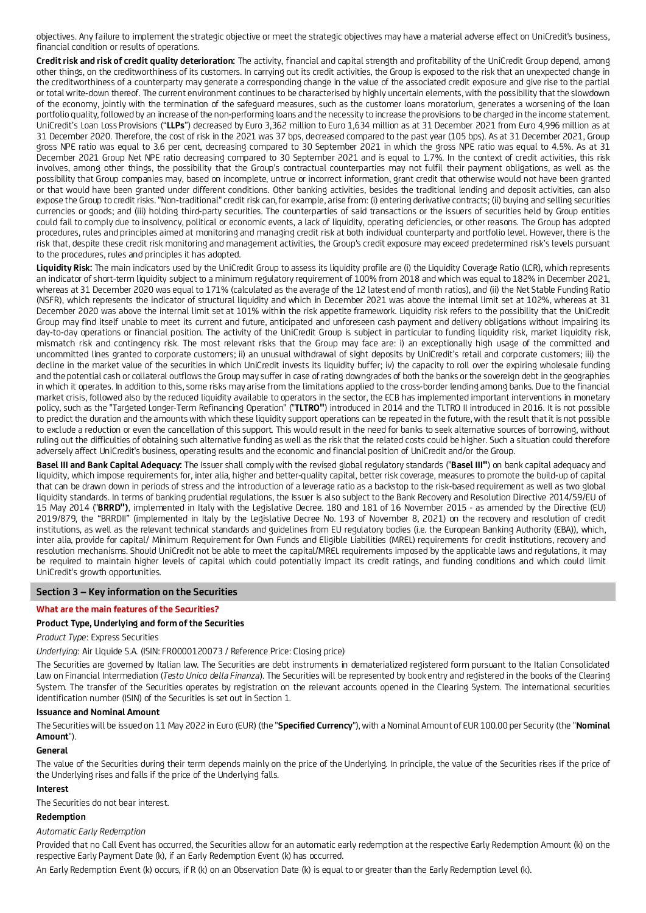objectives. Any failure to implement the strategic objective or meet the strategic objectives may have a material adverse effect on UniCredit's business, financial condition or results of operations.

**Credit risk and risk of credit quality deterioration:** The activity, financial and capital strength and profitability of the UniCredit Group depend, among other things, on the creditworthiness of its customers. In carrying out its credit activities, the Group is exposed to the risk that an unexpected change in the creditworthiness of a counterparty may generate a corresponding change in the value of the associated credit exposure and give rise to the partial or total write-down thereof. The current environment continues to be characterised by highly uncertain elements, with the possibility that the slowdown of the economy, jointly with the termination of the safeguard measures, such as the customer loans moratorium, generates a worsening of the loan portfolio quality, followed by an increase of the non-performing loans and the necessity to increase the provisions to be charged in the income statement. UniCredit's Loan Loss Provisions ("**LLPs**") decreased by Euro 3,362 million to Euro 1,634 million as at 31 December 2021 from Euro 4,996 million as at 31 December 2020. Therefore, the cost of risk in the 2021 was 37 bps, decreased compared to the past year (105 bps). As at 31 December 2021, Group gross NPE ratio was equal to 3.6 per cent, decreasing compared to 30 September 2021 in which the gross NPE ratio was equal to 4.5%. As at 31 December 2021 Group Net NPE ratio decreasing compared to 30 September 2021 and is equal to 1.7%. In the context of credit activities, this risk involves, among other things, the possibility that the Group's contractual counterparties may not fulfil their payment obligations, as well as the possibility that Group companies may, based on incomplete, untrue or incorrect information, grant credit that otherwise would not have been granted or that would have been granted under different conditions. Other banking activities, besides the traditional lending and deposit activities, can also expose the Group to credit risks. "Non-traditional" credit risk can, for example, arise from: (i) entering derivative contracts; (ii) buying and selling securities currencies or goods; and (iii) holding third-party securities. The counterparties of said transactions or the issuers of securities held by Group entities could fail to comply due to insolvency, political or economic events, a lack of liquidity, operating deficiencies, or other reasons. The Group has adopted procedures, rules and principles aimed at monitoring and managing credit risk at both individual counterparty and portfolio level. However, there is the risk that, despite these credit risk monitoring and management activities, the Group's credit exposure may exceed predetermined risk's levels pursuant to the procedures, rules and principles it has adopted.

Liquidity Risk: The main indicators used by the UniCredit Group to assess its liquidity profile are (i) the Liquidity Coverage Ratio (LCR), which represents an indicator of short-term liquidity subject to a minimum requlatory requirement of 100% from 2018 and which was equal to 182% in December 2021, whereas at 31 December 2020 was equal to 171% (calculated as the average of the 12 latest end of month ratios), and (ii) the Net Stable Funding Ratio (NSFR), which represents the indicator of structural liquidity and which in December 2021 was above the internal limit set at 102%, whereas at 31 December 2020 was above the internal limit set at 101% within the risk appetite framework. Liquidity risk refers to the possibility that the UniCredit Group may find itself unable to meet its current and future, anticipated and unforeseen cash payment and delivery obligations without impairing its day-to-day operations or financial position. The activity of the UniCredit Group is subject in particular to funding liquidity risk, market liquidity risk, mismatch risk and contingency risk. The most relevant risks that the Group may face are: i) an exceptionally high usage of the committed and uncommitted lines granted to corporate customers; ii) an unusual withdrawal of sight deposits by UniCredit's retail and corporate customers; iii) the decline in the market value of the securities in which UniCredit invests its liquidity buffer; iv) the capacity to roll over the expiring wholesale funding and the potential cash or collateral outflows the Group may suffer in case of rating downgrades of both the banks or the sovereign debt in the geographies in which it operates. In addition to this, some risks may arise from the limitations applied to the cross-border lending among banks. Due to the financial market crisis, followed also by the reduced liquidity available to operators in the sector, the ECB has implemented important interventions in monetary policy, such as the "Targeted Longer-Term Refinancing Operation" ("**TLTRO"**) introduced in 2014 and the TLTRO II introduced in 2016. It is not possible to predict the duration and the amounts with which these liquidity support operations can be repeated in the future, with the result that it is not possible to exclude a reduction or even the cancellation of this support. This would result in the need for banks to seek alternative sources of borrowing, without ruling out the difficulties of obtaining such alternative funding as well as the risk that the related costs could be higher. Such a situation could therefore adversely affect UniCredit's business, operating results and the economic and financial position of UniCredit and/or the Group.

**Basel III and Bank Capital Adequacy:** The Issuer shall comply with the revised global regulatory standards ("**Basel III"**) on bank capital adequacy and liquidity, which impose requirements for, inter alia, higher and better-quality capital, better risk coverage, measures to promote the build-up of capital that can be drawn down in periods of stress and the introduction of a leverage ratio as a backstop to the risk-based requirement as well as two global liquidity standards. In terms of banking prudential regulations, the Issuer is also subject to the Bank Recovery and Resolution Directive 2014/59/EU of 15 May 2014 ("**BRRD")**, implemented in Italy with the Legislative Decree. 180 and 181 of 16 November 2015 - as amended by the Directive (EU) 2019/879, the "BRRDII" (implemented in Italy by the Legislative Decree No. 193 of November 8, 2021) on the recovery and resolution of credit institutions, as well as the relevant technical standards and guidelines from EU regulatory bodies (i.e. the European Banking Authority (EBA)), which, inter alia, provide for capital/ Minimum Requirement for Own Funds and Eligible Liabilities (MREL) requirements for credit institutions, recovery and resolution mechanisms. Should UniCredit not be able to meet the capital/MREL requirements imposed by the applicable laws and regulations, it may be required to maintain higher levels of capital which could potentially impact its credit ratings, and funding conditions and which could limit UniCredit's growth opportunities.

### **Section 3 – Key information on the Securities**

### **What are the main features of the Securities?**

### **Product Type, Underlying and form of the Securities**

*Product Type*: Express Securities

*Underlying*: Air Liquide S.A. (ISIN: FR0000120073 / Reference Price: Closing price)

The Securities are governed by Italian law. The Securities are debt instruments in dematerialized registered form pursuant to the Italian Consolidated Law on Financial Intermediation (*Testo Unico della Finanza*). The Securities will be represented by book entry and registered in the books of the Clearing System. The transfer of the Securities operates by registration on the relevant accounts opened in the Clearing System. The international securities identification number (ISIN) of the Securities is set out in Section 1.

#### **Issuance and Nominal Amount**

The Securities will be issued on 11 May 2022 in Euro (EUR) (the "**Specified Currency**"), with a Nominal Amount of EUR 100.00 per Security (the "**Nominal Amount**").

### **General**

The value of the Securities during their term depends mainly on the price of the Underlying. In principle, the value of the Securities rises if the price of the Underlying rises and falls if the price of the Underlying falls.

### **Interest**

The Securities do not bear interest.

#### **Redemption**

### *Automatic Early Redemption*

Provided that no Call Event has occurred, the Securities allow for an automatic early redemption at the respective Early Redemption Amount (k) on the respective Early Payment Date (k), if an Early Redemption Event (k) has occurred.

An Early Redemption Event (k) occurs, if R (k) on an Observation Date (k) is equal to or greater than the Early Redemption Level (k).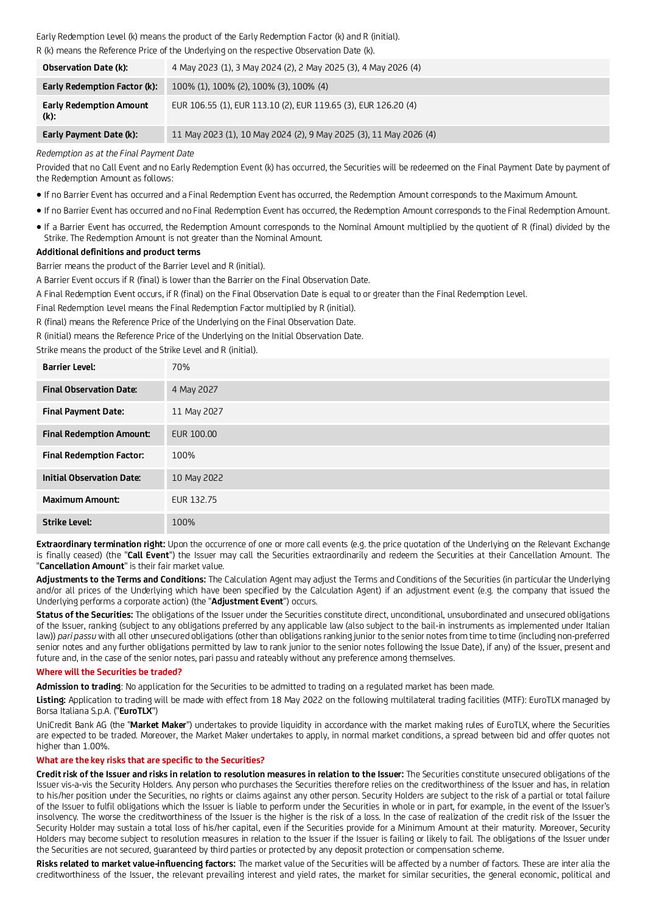### Early Redemption Level (k) means the product of the Early Redemption Factor (k) and R (initial). R (k) means the Reference Price of the Underlying on the respective Observation Date (k).

| <b>Observation Date (k):</b>              | 4 May 2023 (1), 3 May 2024 (2), 2 May 2025 (3), 4 May 2026 (4)    |
|-------------------------------------------|-------------------------------------------------------------------|
| Early Redemption Factor (k):              | 100% (1), 100% (2), 100% (3), 100% (4)                            |
| <b>Early Redemption Amount</b><br>$(k)$ : | EUR 106.55 (1), EUR 113.10 (2), EUR 119.65 (3), EUR 126.20 (4)    |
| Early Payment Date (k):                   | 11 May 2023 (1), 10 May 2024 (2), 9 May 2025 (3), 11 May 2026 (4) |

### *Redemption as at the Final Payment Date*

Provided that no Call Event and no Early Redemption Event (k) has occurred, the Securities will be redeemed on the Final Payment Date by payment of the Redemption Amount as follows:

- If no Barrier Event has occurred and a Final Redemption Event has occurred, the Redemption Amount corresponds to the Maximum Amount.
- If no Barrier Event has occurred and no Final Redemption Event has occurred, the Redemption Amount corresponds to the Final Redemption Amount.
- If a Barrier Event has occurred, the Redemption Amount corresponds to the Nominal Amount multiplied by the quotient of R (final) divided by the Strike. The Redemption Amount is not greater than the Nominal Amount.

### **Additional definitions and product terms**

Barrier means the product of the Barrier Level and R (initial).

A Barrier Event occurs if R (final) is lower than the Barrier on the Final Observation Date.

A Final Redemption Event occurs, if R (final) on the Final Observation Date is equal to or greater than the Final Redemption Level.

Final Redemption Level means the Final Redemption Factor multiplied by R (initial).

R (final) means the Reference Price of the Underlying on the Final Observation Date.

R (initial) means the Reference Price of the Underlying on the Initial Observation Date.

Strike means the product of the Strike Level and R (initial).

| <b>Barrier Level:</b>            | 70%         |
|----------------------------------|-------------|
| <b>Final Observation Date:</b>   | 4 May 2027  |
| <b>Final Payment Date:</b>       | 11 May 2027 |
| <b>Final Redemption Amount:</b>  | EUR 100.00  |
| <b>Final Redemption Factor:</b>  | 100%        |
| <b>Initial Observation Date:</b> | 10 May 2022 |
| <b>Maximum Amount:</b>           | EUR 132.75  |
| <b>Strike Level:</b>             | 100%        |

**Extraordinary termination right:** Upon the occurrence of one or more call events (e.g. the price quotation of the Underlying on the Relevant Exchange is finally ceased) (the "**Call Event**") the Issuer may call the Securities extraordinarily and redeem the Securities at their Cancellation Amount. The "**Cancellation Amount**" is their fair market value.

**Adjustments to the Terms and Conditions:** The Calculation Agent may adjust the Terms and Conditions of the Securities (in particular the Underlying and/or all prices of the Underlying which have been specified by the Calculation Agent) if an adjustment event (e.g. the company that issued the Underlying performs a corporate action) (the "**Adjustment Event**") occurs.

**Status of the Securities:** The obligations of the Issuer under the Securities constitute direct, unconditional, unsubordinated and unsecured obligations of the Issuer, ranking (subject to any obligations preferred by any applicable law (also subject to the bail-in instruments as implemented under Italian law)) *pari passu* with all other unsecured obligations (other than obligations ranking junior to the senior notes from time to time (including non-preferred senior notes and any further obligations permitted by law to rank junior to the senior notes following the Issue Date), if any) of the Issuer, present and future and, in the case of the senior notes, pari passu and rateably without any preference among themselves.

### **Where will the Securities be traded?**

**Admission to trading**: No application for the Securities to be admitted to trading on a regulated market has been made.

**Listing:** Application to trading will be made with effect from 18 May 2022 on the following multilateral trading facilities (MTF): EuroTLX managed by Borsa Italiana S.p.A. ("**EuroTLX**")

UniCredit Bank AG (the "**Market Maker**") undertakes to provide liquidity in accordance with the market making rules of EuroTLX, where the Securities are expected to be traded. Moreover, the Market Maker undertakes to apply, in normal market conditions, a spread between bid and offer quotes not higher than 1.00%.

### **What are the key risks that are specific to the Securities?**

**Credit risk of the Issuer and risks in relation to resolution measures in relation to the Issuer:** The Securities constitute unsecured obligations of the Issuer vis-a-vis the Security Holders. Any person who purchases the Securities therefore relies on the creditworthiness of the Issuer and has, in relation to his/her position under the Securities, no rights or claims against any other person. Security Holders are subject to the risk of a partial or total failure of the Issuer to fulfil obligations which the Issuer is liable to perform under the Securities in whole or in part, for example, in the event of the Issuer's insolvency. The worse the creditworthiness of the Issuer is the higher is the risk of a loss. In the case of realization of the credit risk of the Issuer the Security Holder may sustain a total loss of his/her capital, even if the Securities provide for a Minimum Amount at their maturity. Moreover, Security Holders may become subject to resolution measures in relation to the Issuer if the Issuer is failing or likely to fail. The obligations of the Issuer under the Securities are not secured, guaranteed by third parties or protected by any deposit protection or compensation scheme.

**Risks related to market value-influencing factors:** The market value of the Securities will be affected by a number of factors. These are inter alia the creditworthiness of the Issuer, the relevant prevailing interest and yield rates, the market for similar securities, the general economic, political and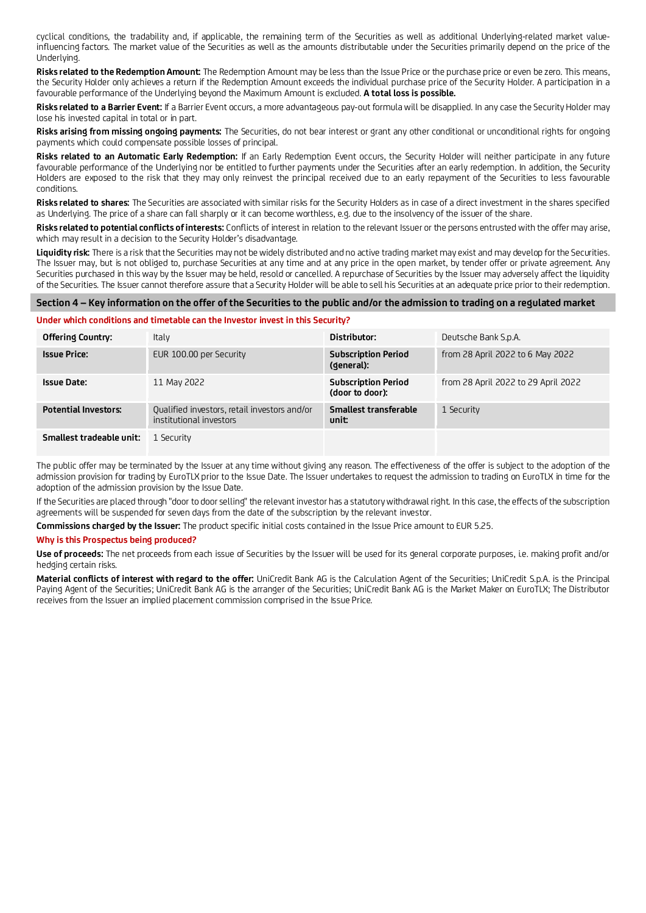cyclical conditions, the tradability and, if applicable, the remaining term of the Securities as well as additional Underlying-related market valueinfluencing factors. The market value of the Securities as well as the amounts distributable under the Securities primarily depend on the price of the Underlying.

**Risks related to the Redemption Amount:** The Redemption Amount may be less than the Issue Price or the purchase price or even be zero. This means, the Security Holder only achieves a return if the Redemption Amount exceeds the individual purchase price of the Security Holder. A participation in a favourable performance of the Underlying beyond the Maximum Amount is excluded. **A total loss is possible.**

**Risks related to a Barrier Event:** If a Barrier Event occurs, a more advantageous pay-out formula will be disapplied. In any case the Security Holder may lose his invested capital in total or in part.

**Risks arising from missing ongoing payments:** The Securities, do not bear interest or grant any other conditional or unconditional rights for ongoing payments which could compensate possible losses of principal.

**Risks related to an Automatic Early Redemption:** If an Early Redemption Event occurs, the Security Holder will neither participate in any future favourable performance of the Underlying nor be entitled to further payments under the Securities after an early redemption. In addition, the Security Holders are exposed to the risk that they may only reinvest the principal received due to an early repayment of the Securities to less favourable conditions.

**Risks related to shares:** The Securities are associated with similar risks for the Security Holders as in case of a direct investment in the shares specified as Underlying. The price of a share can fall sharply or it can become worthless, e.g. due to the insolvency of the issuer of the share.

**Risks related to potential conflicts of interests:** Conflicts of interest in relation to the relevant Issuer or the persons entrusted with the offer may arise, which may result in a decision to the Security Holder's disadvantage.

**Liquidity risk:** There is a risk that the Securities may not be widely distributed and no active trading market may exist and may develop for the Securities. The Issuer may, but is not obliged to, purchase Securities at any time and at any price in the open market, by tender offer or private agreement. Any Securities purchased in this way by the Issuer may be held, resold or cancelled. A repurchase of Securities by the Issuer may adversely affect the liquidity of the Securities. The Issuer cannot therefore assure that a Security Holder will be able to sell his Securities at an adequate price prior to their redemption.

# **Section 4 – Key information on the offer of the Securities to the public and/or the admission to trading on a regulated market**

#### **Under which conditions and timetable can the Investor invest in this Security?**

| Offering Country:           | Italy                                                                   | Distributor:                                  | Deutsche Bank S.p.A.                |
|-----------------------------|-------------------------------------------------------------------------|-----------------------------------------------|-------------------------------------|
| <b>Issue Price:</b>         | EUR 100.00 per Security                                                 | <b>Subscription Period</b><br>(general):      | from 28 April 2022 to 6 May 2022    |
| <b>Issue Date:</b>          | 11 May 2022                                                             | <b>Subscription Period</b><br>(door to door): | from 28 April 2022 to 29 April 2022 |
| <b>Potential Investors:</b> | Qualified investors, retail investors and/or<br>institutional investors | Smallest transferable<br>unit:                | 1 Security                          |
| Smallest tradeable unit:    | 1 Security                                                              |                                               |                                     |

The public offer may be terminated by the Issuer at any time without giving any reason. The effectiveness of the offer is subject to the adoption of the admission provision for trading by EuroTLX prior to the Issue Date. The Issuer undertakes to request the admission to trading on EuroTLX in time for the adoption of the admission provision by the Issue Date.

If the Securities are placed through "door to door selling" the relevant investor has a statutory withdrawal right. In this case, the effects of the subscription agreements will be suspended for seven days from the date of the subscription by the relevant investor.

**Commissions charged by the Issuer:** The product specific initial costs contained in the Issue Price amount to EUR 5.25.

#### **Why is this Prospectus being produced?**

**Use of proceeds:** The net proceeds from each issue of Securities by the Issuer will be used for its general corporate purposes, i.e. making profit and/or hedging certain risks.

**Material conflicts of interest with regard to the offer:** UniCredit Bank AG is the Calculation Agent of the Securities; UniCredit S.p.A. is the Principal Paying Agent of the Securities; UniCredit Bank AG is the arranger of the Securities; UniCredit Bank AG is the Market Maker on EuroTLX; The Distributor receives from the Issuer an implied placement commission comprised in the Issue Price.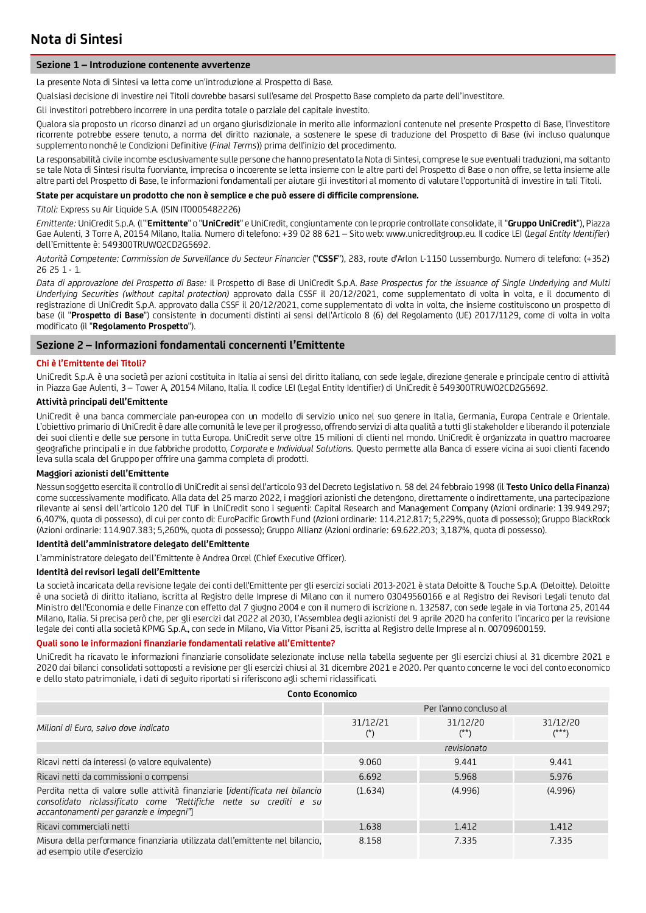### **Sezione 1 – Introduzione contenente avvertenze**

La presente Nota di Sintesi va letta come un'introduzione al Prospetto di Base.

Qualsiasi decisione di investire nei Titoli dovrebbe basarsi sull'esame del Prospetto Base completo da parte dell'investitore.

Gli investitori potrebbero incorrere in una perdita totale o parziale del capitale investito.

Qualora sia proposto un ricorso dinanzi ad un organo giurisdizionale in merito alle informazioni contenute nel presente Prospetto di Base, l'investitore ricorrente potrebbe essere tenuto, a norma del diritto nazionale, a sostenere le spese di traduzione del Prospetto di Base (ivi incluso qualunque supplemento nonché le Condizioni Definitive (*Final Terms*)) prima dell'inizio del procedimento.

La responsabilità civile incombe esclusivamente sulle persone che hanno presentato la Nota di Sintesi, comprese le sue eventuali traduzioni, ma soltanto se tale Nota di Sintesi risulta fuorviante, imprecisa o incoerente se letta insieme con le altre parti del Prospetto di Base o non offre, se letta insieme alle altre parti del Prospetto di Base, le informazioni fondamentali per aiutare gli investitori al momento di valutare l'opportunità di investire in tali Titoli.

### **State per acquistare un prodotto che non è semplice e che può essere di difficile comprensione.**

*Titoli:* Express su Air Liquide S.A. (ISIN IT0005482226)

*Emittente:* UniCredit S.p.A. (l'"**Emittente**" o "**UniCredit**" e UniCredit, congiuntamente con le proprie controllate consolidate, il "**Gruppo UniCredit**"), Piazza Gae Aulenti, 3 Torre A, 20154 Milano, Italia. Numero di telefono: +39 02 88 621 – Sito web: www.unicreditgroup.eu. Il codice LEI (*Legal Entity Identifier*) dell'Emittente è: 549300TRUWO2CD2G5692.

*Autorità Competente: Commission de Surveillance du Secteur Financier* ("**CSSF**"), 283, route d'Arlon L-1150 Lussemburgo. Numero di telefono: (+352) 26 25 1 - 1.

*Data di approvazione del Prospetto di Base:* Il Prospetto di Base di UniCredit S.p.A. *Base Prospectus for the issuance of Single Underlying and Multi Underlying Securities (without capital protection)* approvato dalla CSSF il 20/12/2021, come supplementato di volta in volta, e il documento di registrazione di UniCredit S.p.A. approvato dalla CSSF il 20/12/2021, come supplementato di volta in volta, che insieme costituiscono un prospetto di base (il "**Prospetto di Base**") consistente in documenti distinti ai sensi dell'Articolo 8 (6) del Regolamento (UE) 2017/1129, come di volta in volta modificato (il "**Regolamento Prospetto**").

### **Sezione 2 – Informazioni fondamentali concernenti l'Emittente**

### **Chi è l'Emittente dei Titoli?**

UniCredit S.p.A. è una società per azioni costituita in Italia ai sensi del diritto italiano, con sede legale, direzione generale e principale centro di attività in Piazza Gae Aulenti, 3 – Tower A, 20154 Milano, Italia. Il codice LEI (Legal Entity Identifier) di UniCredit è 549300TRUWO2CD2G5692.

# **Attività principali dell'Emittente**

UniCredit è una banca commerciale pan-europea con un modello di servizio unico nel suo genere in Italia, Germania, Europa Centrale e Orientale. L'obiettivo primario di UniCredit è dare alle comunità le leve per il progresso, offrendo servizi di alta qualità a tutti gli stakeholder e liberando il potenziale dei suoi clienti e delle sue persone in tutta Europa. UniCredit serve oltre 15 milioni di clienti nel mondo. UniCredit è organizzata in quattro macroaree geografiche principali e in due fabbriche prodotto, *Corporate* e *Individual Solutions.* Questo permette alla Banca di essere vicina ai suoi clienti facendo leva sulla scala del Gruppo per offrire una gamma completa di prodotti.

### **Maggiori azionisti dell'Emittente**

Nessun soggetto esercita il controllo di UniCredit ai sensi dell'articolo 93 del Decreto Legislativo n. 58 del 24 febbraio 1998 (il **Testo Unico della Finanza**) come successivamente modificato. Alla data del 25 marzo 2022, i maggiori azionisti che detengono, direttamente o indirettamente, una partecipazione rilevante ai sensi dell'articolo 120 del TUF in UniCredit sono i seguenti: Capital Research and Management Company (Azioni ordinarie: 139.949.297; 6,407%, quota di possesso), di cui per conto di: EuroPacific Growth Fund (Azioni ordinarie: 114.212.817; 5,229%, quota di possesso); Gruppo BlackRock (Azioni ordinarie: 114.907.383; 5,260%, quota di possesso); Gruppo Allianz (Azioni ordinarie: 69.622.203; 3,187%, quota di possesso).

#### **Identità dell'amministratore delegato dell'Emittente**

L'amministratore delegato dell'Emittente è Andrea Orcel (Chief Executive Officer).

### **Identità dei revisori legali dell'Emittente**

La società incaricata della revisione legale dei conti dell'Emittente per gli esercizi sociali 2013-2021 è stata Deloitte & Touche S.p.A. (Deloitte). Deloitte è una società di diritto italiano, iscritta al Registro delle Imprese di Milano con il numero 03049560166 e al Registro dei Revisori Legali tenuto dal Ministro dell'Economia e delle Finanze con effetto dal 7 giugno 2004 e con il numero di iscrizione n. 132587, con sede legale in via Tortona 25, 20144 Milano, Italia. Si precisa però che, per gli esercizi dal 2022 al 2030, l'Assemblea degli azionisti del 9 aprile 2020 ha conferito l'incarico per la revisione legale dei conti alla società KPMG S.p.A., con sede in Milano, Via Vittor Pisani 25, iscritta al Registro delle Imprese al n. 00709600159.

### **Quali sono le informazioni finanziarie fondamentali relative all'Emittente?**

UniCredit ha ricavato le informazioni finanziarie consolidate selezionate incluse nella tabella seguente per gli esercizi chiusi al 31 dicembre 2021 e 2020 dai bilanci consolidati sottoposti a revisione per gli esercizi chiusi al 31 dicembre 2021 e 2020. Per quanto concerne le voci del conto economico e dello stato patrimoniale, i dati di seguito riportati si riferiscono agli schemi riclassificati.

| Conto Economico                                                                                                                                                                               |                            |                                      |                     |  |  |
|-----------------------------------------------------------------------------------------------------------------------------------------------------------------------------------------------|----------------------------|--------------------------------------|---------------------|--|--|
|                                                                                                                                                                                               | Per l'anno concluso al     |                                      |                     |  |  |
| Milioni di Euro, salvo dove indicato                                                                                                                                                          | 31/12/21<br>$(\tilde{\ })$ | 31/12/20<br>$(\tilde{\ }^{\ast\,*})$ | 31/12/20<br>$(***)$ |  |  |
|                                                                                                                                                                                               |                            | revisionato                          |                     |  |  |
| Ricavi netti da interessi (o valore equivalente)                                                                                                                                              | 9.060                      | 9.441                                | 9.441               |  |  |
| Ricavi netti da commissioni o compensi                                                                                                                                                        | 6.692                      | 5.968                                | 5.976               |  |  |
| Perdita netta di valore sulle attività finanziarie [identificata nel bilancio<br>consolidato riclassificato come "Rettifiche nette su crediti e su<br>accantonamenti per garanzie e impegni"] | (1.634)                    | (4.996)                              | (4.996)             |  |  |
| Ricavi commerciali netti                                                                                                                                                                      | 1.638                      | 1.412                                | 1.412               |  |  |
| Misura della performance finanziaria utilizzata dall'emittente nel bilancio.<br>ad esempio utile d'esercizio                                                                                  | 8.158                      | 7.335                                | 7.335               |  |  |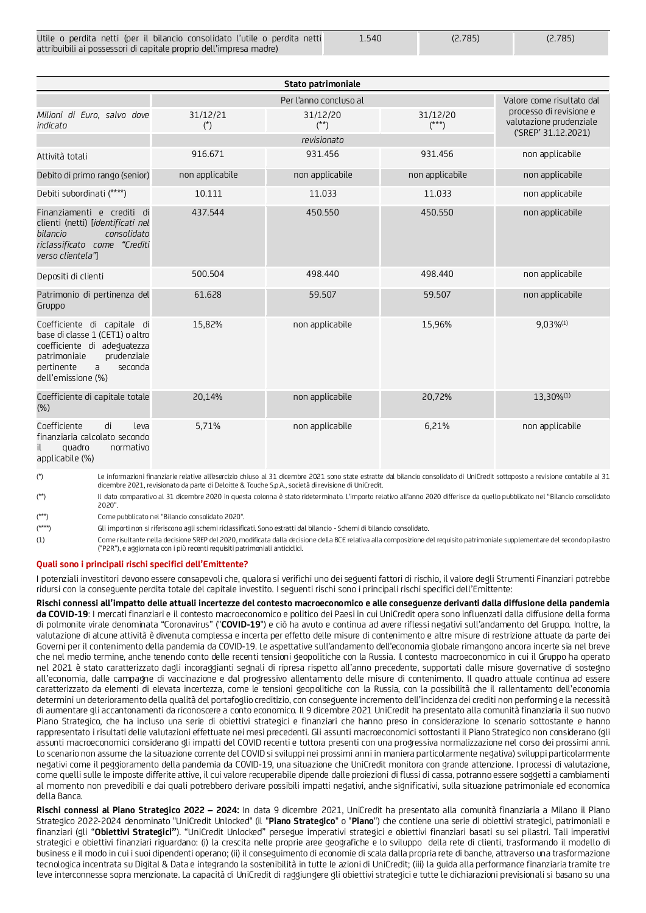| Utile o perdita netti (per il bilancio consolidato l'utile o perdita netti | 1.540 | (2.785) | (2.785) |
|----------------------------------------------------------------------------|-------|---------|---------|
| attribuibili ai possessori di capitale proprio dell'impresa madre)         |       |         |         |

| Stato patrimoniale                                                                                                                                                               |                        |                    |                     |                                                                           |  |  |
|----------------------------------------------------------------------------------------------------------------------------------------------------------------------------------|------------------------|--------------------|---------------------|---------------------------------------------------------------------------|--|--|
|                                                                                                                                                                                  | Per l'anno concluso al |                    |                     | Valore come risultato dal                                                 |  |  |
| Milioni di Euro, salvo dove<br>indicato                                                                                                                                          | 31/12/21<br>$(*)$      | 31/12/20<br>$(**)$ | 31/12/20<br>$(***)$ | processo di revisione e<br>valutazione prudenziale<br>('SREP' 31.12.2021) |  |  |
|                                                                                                                                                                                  |                        |                    |                     |                                                                           |  |  |
| Attività totali                                                                                                                                                                  | 916.671                | 931.456            | 931.456             | non applicabile                                                           |  |  |
| Debito di primo rango (senior)                                                                                                                                                   | non applicabile        | non applicabile    | non applicabile     | non applicabile                                                           |  |  |
| Debiti subordinati (****)                                                                                                                                                        | 10.111                 | 11.033             | 11.033              | non applicabile                                                           |  |  |
| Finanziamenti e crediti di<br>clienti (netti) [identificati nel<br>consolidato<br>bilancio<br>riclassificato come "Crediti<br>verso clientela"]                                  | 437.544                | 450.550            | 450.550             | non applicabile                                                           |  |  |
| Depositi di clienti                                                                                                                                                              | 500.504                | 498.440            | 498.440             | non applicabile                                                           |  |  |
| Patrimonio di pertinenza del<br>Gruppo                                                                                                                                           | 61.628                 | 59.507             | 59.507              | non applicabile                                                           |  |  |
| Coefficiente di capitale di<br>base di classe 1 (CET1) o altro<br>coefficiente di adequatezza<br>prudenziale<br>patrimoniale<br>pertinente<br>seconda<br>a<br>dell'emissione (%) | 15,82%                 | non applicabile    | 15,96%              | $9,03\%$ <sup>(1)</sup>                                                   |  |  |
| Coefficiente di capitale totale<br>(%)                                                                                                                                           | 20,14%                 | non applicabile    | 20,72%              | 13,30%(1)                                                                 |  |  |
| Coefficiente<br>di<br>leva<br>finanziaria calcolato secondo<br>quadro<br>normativo<br>applicabile (%)                                                                            | 5,71%                  | non applicabile    | 6,21%               | non applicabile                                                           |  |  |

(\*) Le informazioni finanziarie relative all'esercizio chiuso al 31 dicembre 2021 sono state estratte dal bilancio consolidato di UniCredit sottoposto a revisione contabile al 31 dicembre 2021, revisionato da parte di Deloitte & Touche S.p.A., società di revisione di UniCredit.

(\*\*) Il dato comparativo al 31 dicembre 2020 in questa colonna è stato rideterminato. L'importo relativo all'anno 2020 differisce da quello pubblicato nel "Bilancio consolidato 2020".

(\*\*\*) Come pubblicato nel "Bilancio consolidato 2020".

(\*\*\*\*) Gli importi non si riferiscono agli schemi riclassificati. Sono estratti dal bilancio - Schemi di bilancio consolidato.

(1) Come risultante nella decisione SREP del 2020, modificata dalla decisione della BCE relativa alla composizione del requisito patrimoniale supplementare del secondo pilastro ("P2R"), e aggiornata con i più recenti requisiti patrimoniali anticiclici.

#### **Quali sono i principali rischi specifici dell'Emittente?**

I potenziali investitori devono essere consapevoli che, qualora si verifichi uno dei seguenti fattori di rischio, il valore degli Strumenti Finanziari potrebbe ridursi con la conseguente perdita totale del capitale investito. I seguenti rischi sono i principali rischi specifici dell'Emittente:

**Rischi connessi all'impatto delle attuali incertezze del contesto macroeconomico e alle conseguenze derivanti dalla diffusione della pandemia da COVID-19**: I mercati finanziari e il contesto macroeconomico e politico dei Paesi in cui UniCredit opera sono influenzati dalla diffusione della forma di polmonite virale denominata "Coronavirus" ("**COVID-19**") e ciò ha avuto e continua ad avere riflessi negativi sull'andamento del Gruppo. Inoltre, la valutazione di alcune attività è divenuta complessa e incerta per effetto delle misure di contenimento e altre misure di restrizione attuate da parte dei Governi per il contenimento della pandemia da COVID-19. Le aspettative sull'andamento dell'economia globale rimangono ancora incerte sia nel breve che nel medio termine, anche tenendo conto delle recenti tensioni geopolitiche con la Russia. Il contesto macroeconomico in cui il Gruppo ha operato nel 2021 è stato caratterizzato dagli incoraggianti segnali di ripresa rispetto all'anno precedente, supportati dalle misure governative di sostegno all'economia, dalle campagne di vaccinazione e dal progressivo allentamento delle misure di contenimento. Il quadro attuale continua ad essere caratterizzato da elementi di elevata incertezza, come le tensioni geopolitiche con la Russia, con la possibilità che il rallentamento dell'economia determini un deterioramento della qualità del portafoglio creditizio, con conseguente incremento dell'incidenza dei crediti non performing e la necessità di aumentare gli accantonamenti da riconoscere a conto economico. Il 9 dicembre 2021 UniCredit ha presentato alla comunità finanziaria il suo nuovo Piano Strategico, che ha incluso una serie di obiettivi strategici e finanziari che hanno preso in considerazione lo scenario sottostante e hanno rappresentato i risultati delle valutazioni effettuate nei mesi precedenti. Gli assunti macroeconomici sottostanti il Piano Strategico non considerano (gli assunti macroeconomici considerano gli impatti del COVID recenti e tuttora presenti con una progressiva normalizzazione nel corso dei prossimi anni. Lo scenario non assume che la situazione corrente del COVID si sviluppi nei prossimi anni in maniera particolarmente negativa) sviluppi particolarmente negativi come il peggioramento della pandemia da COVID-19, una situazione che UniCredit monitora con grande attenzione. I processi di valutazione, come quelli sulle le imposte differite attive, il cui valore recuperabile dipende dalle proiezioni di flussi di cassa, potranno essere soggetti a cambiamenti al momento non prevedibili e dai quali potrebbero derivare possibili impatti negativi, anche significativi, sulla situazione patrimoniale ed economica della Banca.

**Rischi connessi al Piano Strategico 2022 – 2024:** In data 9 dicembre 2021, UniCredit ha presentato alla comunità finanziaria a Milano il Piano Strategico 2022-2024 denominato "UniCredit Unlocked" (il "**Piano Strategico**" o "**Piano**") che contiene una serie di obiettivi strategici, patrimoniali e finanziari (gli "**Obiettivi Strategici"**). "UniCredit Unlocked" persegue imperativi strategici e obiettivi finanziari basati su sei pilastri. Tali imperativi strategici e obiettivi finanziari riguardano: (i) la crescita nelle proprie aree geografiche e lo sviluppo della rete di clienti, trasformando il modello di business e il modo in cui i suoi dipendenti operano; (ii) il conseguimento di economie di scala dalla propria rete di banche, attraverso una trasformazione tecnologica incentrata su Digital & Data e integrando la sostenibilità in tutte le azioni di UniCredit; (iii) la guida alla performance finanziaria tramite tre leve interconnesse sopra menzionate. La capacità di UniCredit di raggiungere gli obiettivi strategici e tutte le dichiarazioni previsionali si basano su una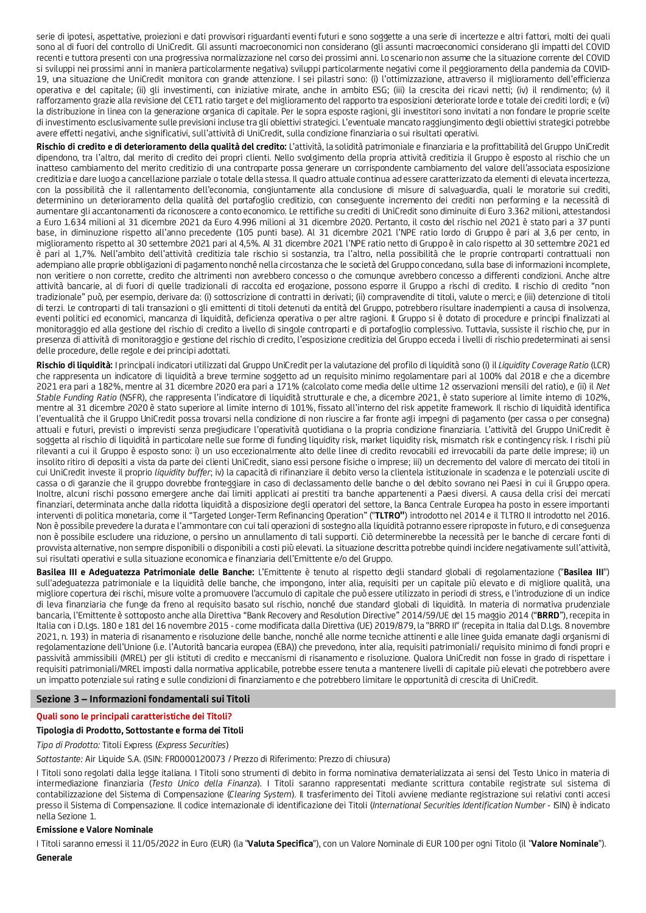serie di ipotesi, aspettative, proiezioni e dati provvisori riguardanti eventi futuri e sono soggette a una serie di incertezze e altri fattori, molti dei quali sono al di fuori del controllo di UniCredit. Gli assunti macroeconomici non considerano (gli assunti macroeconomici considerano gli impatti del COVID recenti e tuttora presenti con una progressiva normalizzazione nel corso dei prossimi anni. Lo scenario non assume che la situazione corrente del COVID si sviluppi nei prossimi anni in maniera particolarmente negativa) sviluppi particolarmente negativi come il peggioramento della pandemia da COVID-19, una situazione che UniCredit monitora con grande attenzione. I sei pilastri sono: (i) l'ottimizzazione, attraverso il miglioramento dell'efficienza operativa e del capitale; (ii) gli investimenti, con iniziative mirate, anche in ambito ESG; (iii) la crescita dei ricavi netti; (iv) il rendimento; (v) il rafforzamento grazie alla revisione del CET1 ratio target e del miglioramento del rapporto tra esposizioni deteriorate lorde e totale dei crediti lordi; e (vi) la distribuzione in linea con la generazione organica di capitale. Per le sopra esposte ragioni, gli investitori sono invitati a non fondare le proprie scelte di investimento esclusivamente sulle previsioni incluse tra gli obiettivi strategici. L'eventuale mancato raggiungimento degli obiettivi strategici potrebbe avere effetti negativi, anche significativi, sull'attività di UniCredit, sulla condizione finanziaria o sui risultati operativi.

**Rischio di credito e di deterioramento della qualità del credito:** L'attività, la solidità patrimoniale e finanziaria e la profittabilità del Gruppo UniCredit dipendono, tra l'altro, dal merito di credito dei propri clienti. Nello svolgimento della propria attività creditizia il Gruppo è esposto al rischio che un inatteso cambiamento del merito creditizio di una controparte possa generare un corrispondente cambiamento del valore dell'associata esposizione creditizia e dare luogo a cancellazione parziale o totale della stessa. Il quadro attuale continua ad essere caratterizzato da elementi di elevata incertezza, con la possibilità che il rallentamento dell'economia, congiuntamente alla conclusione di misure di salvaguardia, quali le moratorie sui crediti, determinino un deterioramento della qualità del portafoglio creditizio, con conseguente incremento dei crediti non performing e la necessità di aumentare gli accantonamenti da riconoscere a conto economico. Le rettifiche su crediti di UniCredit sono diminuite di Euro 3.362 milioni, attestandosi a Euro 1.634 milioni al 31 dicembre 2021 da Euro 4.996 milioni al 31 dicembre 2020. Pertanto, il costo del rischio nel 2021 è stato pari a 37 punti base, in diminuzione rispetto all'anno precedente (105 punti base). Al 31 dicembre 2021 l'NPE ratio lordo di Gruppo è pari al 3,6 per cento, in miglioramento rispetto al 30 settembre 2021 pari al 4,5%. Al 31 dicembre 2021 l'NPE ratio netto di Gruppo è in calo rispetto al 30 settembre 2021 ed è pari al 1,7%. Nell'ambito dell'attività creditizia tale rischio si sostanzia, tra l'altro, nella possibilità che le proprie controparti contrattuali non adempiano alle proprie obbligazioni di pagamento nonché nella circostanza che le società del Gruppo concedano, sulla base di informazioni incomplete, non veritiere o non corrette, credito che altrimenti non avrebbero concesso o che comunque avrebbero concesso a differenti condizioni. Anche altre attività bancarie, al di fuori di quelle tradizionali di raccolta ed erogazione, possono esporre il Gruppo a rischi di credito. Il rischio di credito "non tradizionale" può, per esempio, derivare da: (i) sottoscrizione di contratti in derivati; (ii) compravendite di titoli, valute o merci; e (iii) detenzione di titoli di terzi. Le controparti di tali transazioni o gli emittenti di titoli detenuti da entità del Gruppo, potrebbero risultare inadempienti a causa di insolvenza, eventi politici ed economici, mancanza di liquidità, deficienza operativa o per altre ragioni. Il Gruppo si è dotato di procedure e principi finalizzati al monitoraggio ed alla gestione del rischio di credito a livello di singole controparti e di portafoglio complessivo. Tuttavia, sussiste il rischio che, pur in presenza di attività di monitoraggio e gestione del rischio di credito, l'esposizione creditizia del Gruppo ecceda i livelli di rischio predeterminati ai sensi delle procedure, delle regole e dei principi adottati.

**Rischio di liquidità:** I principali indicatori utilizzati dal Gruppo UniCredit per la valutazione del profilo di liquidità sono (i) il *Liquidity Coverage Ratio* (LCR) che rappresenta un indicatore di liquidità a breve termine soggetto ad un requisito minimo regolamentare pari al 100% dal 2018 e che a dicembre 2021 era pari a 182%, mentre al 31 dicembre 2020 era pari a 171% (calcolato come media delle ultime 12 osservazioni mensili del ratio), e (ii) il *Net Stable Funding Ratio* (NSFR), che rappresenta l'indicatore di liquidità strutturale e che, a dicembre 2021, è stato superiore al limite interno di 102%, mentre al 31 dicembre 2020 è stato superiore al limite interno di 101%, fissato all'interno del risk appetite framework. Il rischio di liquidità identifica l'eventualità che il Gruppo UniCredit possa trovarsi nella condizione di non riuscire a far fronte agli impegni di pagamento (per cassa o per consegna) attuali e futuri, previsti o imprevisti senza pregiudicare l'operatività quotidiana o la propria condizione finanziaria. L'attività del Gruppo UniCredit è soggetta al rischio di liquidità in particolare nelle sue forme di funding liquidity risk, market liquidity risk, mismatch risk e contingency risk. I rischi più rilevanti a cui il Gruppo è esposto sono: i) un uso eccezionalmente alto delle linee di credito revocabili ed irrevocabili da parte delle imprese; ii) un insolito ritiro di depositi a vista da parte dei clienti UniCredit, siano essi persone fisiche o imprese; iii) un decremento del valore di mercato dei titoli in cui UniCredit investe il proprio *liquidity buffer*; iv) la capacità di rifinanziare il debito verso la clientela istituzionale in scadenza e le potenziali uscite di cassa o di garanzie che il gruppo dovrebbe fronteggiare in caso di declassamento delle banche o del debito sovrano nei Paesi in cui il Gruppo opera. Inoltre, alcuni rischi possono emergere anche dai limiti applicati ai prestiti tra banche appartenenti a Paesi diversi. A causa della crisi dei mercati finanziari, determinata anche dalla ridotta liquidità a disposizione degli operatori del settore, la Banca Centrale Europea ha posto in essere importanti interventi di politica monetaria, come il "Targeted Longer-Term Refinancing Operation" ("**TLTRO"**) introdotto nel 2014 e il TLTRO II introdotto nel 2016. Non è possibile prevedere la durata e l'ammontare con cui tali operazioni di sostegno alla liquidità potranno essere riproposte in futuro, e di conseguenza non è possibile escludere una riduzione, o persino un annullamento di tali supporti. Ciò determinerebbe la necessità per le banche di cercare fonti di provvista alternative, non sempre disponibili o disponibili a costi più elevati. La situazione descritta potrebbe quindi incidere negativamente sull'attività, sui risultati operativi e sulla situazione economica e finanziaria dell'Emittente e/o del Gruppo.

**Basilea III e Adeguatezza Patrimoniale delle Banche:** L'Emittente è tenuto al rispetto degli standard globali di regolamentazione ("**Basilea III**") sull'adeguatezza patrimoniale e la liquidità delle banche, che impongono, inter alia, requisiti per un capitale più elevato e di migliore qualità, una migliore copertura dei rischi, misure volte a promuovere l'accumulo di capitale che può essere utilizzato in periodi di stress, e l'introduzione di un indice di leva finanziaria che funge da freno al requisito basato sul rischio, nonché due standard globali di liquidità. In materia di normativa prudenziale bancaria, l'Emittente è sottoposto anche alla Direttiva "Bank Recovery and Resolution Directive" 2014/59/UE del 15 maggio 2014 ("**BRRD**"), recepita in Italia con i D.Lgs. 180 e 181 del 16 novembre 2015 - come modificata dalla Direttiva (UE) 2019/879, la "BRRD II" (recepita in Italia dal D.Lgs. 8 novembre 2021, n. 193) in materia di risanamento e risoluzione delle banche, nonché alle norme tecniche attinenti e alle linee guida emanate dagli organismi di regolamentazione dell'Unione (i.e. l'Autorità bancaria europea (EBA)) che prevedono, inter alia, requisiti patrimoniali/ requisito minimo di fondi propri e passività ammissibili (MREL) per gli istituti di credito e meccanismi di risanamento e risoluzione. Qualora UniCredit non fosse in grado di rispettare i requisiti patrimoniali/MREL imposti dalla normativa applicabile, potrebbe essere tenuta a mantenere livelli di capitale più elevati che potrebbero avere un impatto potenziale sui rating e sulle condizioni di finanziamento e che potrebbero limitare le opportunità di crescita di UniCredit.

### **Sezione 3 – Informazioni fondamentali sui Titoli**

### **Quali sono le principali caratteristiche dei Titoli?**

### **Tipologia di Prodotto, Sottostante e forma dei Titoli**

*Tipo di Prodotto:* Titoli Express (*Express Securities*)

*Sottostante:* Air Liquide S.A. (ISIN: FR0000120073 / Prezzo di Riferimento: Prezzo di chiusura)

I Titoli sono regolati dalla legge italiana. I Titoli sono strumenti di debito in forma nominativa dematerializzata ai sensi del Testo Unico in materia di intermediazione finanziaria (*Testo Unico della Finanza*). I Titoli saranno rappresentati mediante scrittura contabile registrate sul sistema di contabilizzazione del Sistema di Compensazione (*Clearing System*). Il trasferimento dei Titoli avviene mediante registrazione sui relativi conti accesi presso il Sistema di Compensazione. Il codice internazionale di identificazione dei Titoli (*International Securities Identification Number* - ISIN) è indicato nella Sezione 1.

#### **Emissione e Valore Nominale**

I Titoli saranno emessi il 11/05/2022 in Euro (EUR) (la "**Valuta Specifica**"), con un Valore Nominale di EUR 100 per ogni Titolo (il "**Valore Nominale**").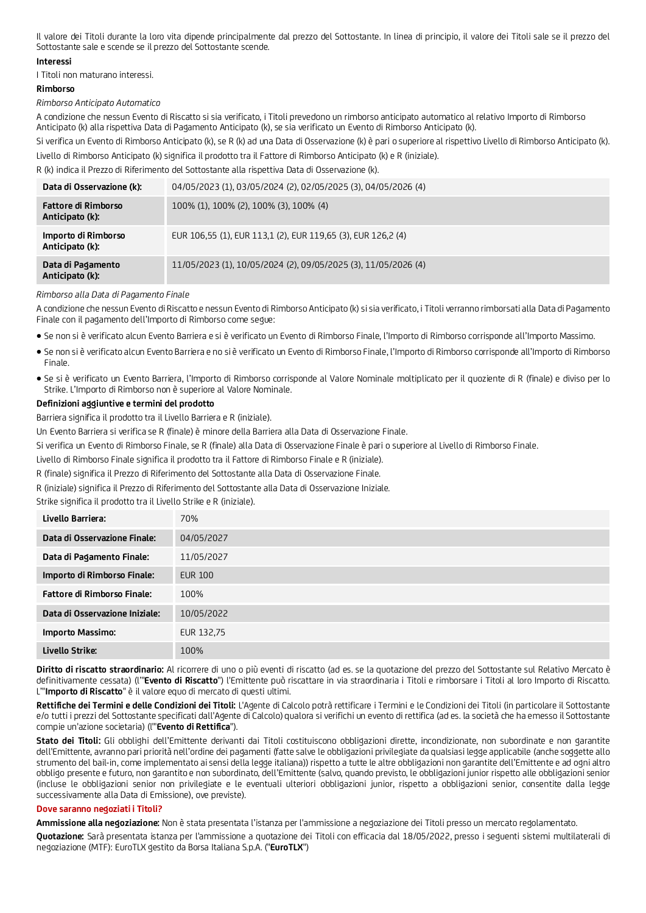Il valore dei Titoli durante la loro vita dipende principalmente dal prezzo del Sottostante. In linea di principio, il valore dei Titoli sale se il prezzo del Sottostante sale e scende se il prezzo del Sottostante scende.

### **Interessi**

I Titoli non maturano interessi.

# **Rimborso**

*Rimborso Anticipato Automatico* 

A condizione che nessun Evento di Riscatto si sia verificato, i Titoli prevedono un rimborso anticipato automatico al relativo Importo di Rimborso Anticipato (k) alla rispettiva Data di Pagamento Anticipato (k), se sia verificato un Evento di Rimborso Anticipato (k).

Si verifica un Evento di Rimborso Anticipato (k), se R (k) ad una Data di Osservazione (k) è pari o superiore al rispettivo Livello di Rimborso Anticipato (k). Livello di Rimborso Anticipato (k) significa il prodotto tra il Fattore di Rimborso Anticipato (k) e R (iniziale).

R (k) indica il Prezzo di Riferimento del Sottostante alla rispettiva Data di Osservazione (k).

| Data di Osservazione (k):                     | 04/05/2023 (1), 03/05/2024 (2), 02/05/2025 (3), 04/05/2026 (4) |
|-----------------------------------------------|----------------------------------------------------------------|
| <b>Fattore di Rimborso</b><br>Anticipato (k): | 100% (1), 100% (2), 100% (3), 100% (4)                         |
| Importo di Rimborso<br>Anticipato (k):        | EUR 106,55 (1), EUR 113,1 (2), EUR 119,65 (3), EUR 126,2 (4)   |
| Data di Pagamento<br>Anticipato (k):          | 11/05/2023 (1), 10/05/2024 (2), 09/05/2025 (3), 11/05/2026 (4) |

#### *Rimborso alla Data di Pagamento Finale*

A condizione che nessun Evento di Riscatto e nessun Evento di Rimborso Anticipato (k) si sia verificato, i Titoli verranno rimborsati alla Data di Pagamento Finale con il pagamento dell'Importo di Rimborso come segue:

- Se non si è verificato alcun Evento Barriera e si è verificato un Evento di Rimborso Finale, l'Importo di Rimborso corrisponde all'Importo Massimo.
- Se non si è verificato alcun Evento Barriera e no si è verificato un Evento di Rimborso Finale, l'Importo di Rimborso corrisponde all'Importo di Rimborso Finale.
- Se si è verificato un Evento Barriera, l'Importo di Rimborso corrisponde al Valore Nominale moltiplicato per il quoziente di R (finale) e diviso per lo Strike. L'Importo di Rimborso non è superiore al Valore Nominale.

### **Definizioni aggiuntive e termini del prodotto**

Barriera significa il prodotto tra il Livello Barriera e R (iniziale).

Un Evento Barriera si verifica se R (finale) è minore della Barriera alla Data di Osservazione Finale.

Si verifica un Evento di Rimborso Finale, se R (finale) alla Data di Osservazione Finale è pari o superiore al Livello di Rimborso Finale.

Livello di Rimborso Finale significa il prodotto tra il Fattore di Rimborso Finale e R (iniziale).

R (finale) significa il Prezzo di Riferimento del Sottostante alla Data di Osservazione Finale.

R (iniziale) significa il Prezzo di Riferimento del Sottostante alla Data di Osservazione Iniziale.

Strike significa il prodotto tra il Livello Strike e R (iniziale).

| Livello Barriera:                  | 70%            |
|------------------------------------|----------------|
| Data di Osservazione Finale:       | 04/05/2027     |
| Data di Pagamento Finale:          | 11/05/2027     |
| Importo di Rimborso Finale:        | <b>EUR 100</b> |
| <b>Fattore di Rimborso Finale:</b> | 100%           |
| Data di Osservazione Iniziale:     | 10/05/2022     |
| Importo Massimo:                   | EUR 132,75     |
| Livello Strike:                    | 100%           |

**Diritto di riscatto straordinario:** Al ricorrere di uno o più eventi di riscatto (ad es. se la quotazione del prezzo del Sottostante sul Relativo Mercato è definitivamente cessata) (l'"**Evento di Riscatto**") l'Emittente può riscattare in via straordinaria i Titoli e rimborsare i Titoli al loro Importo di Riscatto. L'"**Importo di Riscatto**" è il valore equo di mercato di questi ultimi.

**Rettifiche dei Termini e delle Condizioni dei Titoli:** L'Agente di Calcolo potrà rettificare i Termini e le Condizioni dei Titoli (in particolare il Sottostante e/o tutti i prezzi del Sottostante specificati dall'Agente di Calcolo) qualora si verifichi un evento di rettifica (ad es. la società che ha emesso il Sottostante compie un'azione societaria) (l'"**Evento di Rettifica**").

**Stato dei Titoli:** Gli obblighi dell'Emittente derivanti dai Titoli costituiscono obbligazioni dirette, incondizionate, non subordinate e non garantite dell'Emittente, avranno pari priorità nell'ordine dei pagamenti (fatte salve le obbligazioni privilegiate da qualsiasi legge applicabile (anche soggette allo strumento del bail-in, come implementato ai sensi della legge italiana)) rispetto a tutte le altre obbligazioni non garantite dell'Emittente e ad ogni altro obbligo presente e futuro, non garantito e non subordinato, dell'Emittente (salvo, quando previsto, le obbligazioni junior rispetto alle obbligazioni senior (incluse le obbligazioni senior non privilegiate e le eventuali ulteriori obbligazioni junior, rispetto a obbligazioni senior, consentite dalla legge successivamente alla Data di Emissione), ove previste).

#### **Dove saranno negoziati i Titoli?**

**Ammissione alla negoziazione:** Non è stata presentata l'istanza per l'ammissione a negoziazione dei Titoli presso un mercato regolamentato.

**Quotazione:** Sarà presentata istanza per l'ammissione a quotazione dei Titoli con efficacia dal 18/05/2022, presso i seguenti sistemi multilaterali di negoziazione (MTF): EuroTLX gestito da Borsa Italiana S.p.A. ("**EuroTLX**")